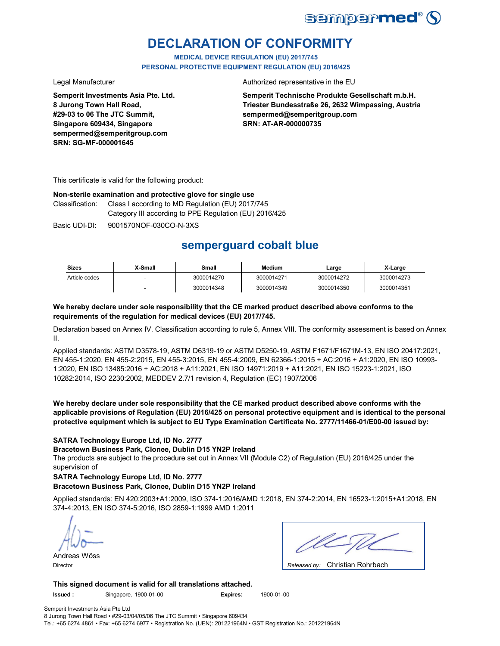

# **DECLARATION OF CONFORMITY**

**MEDICAL DEVICE REGULATION (EU) 2017/745 PERSONAL PROTECTIVE EQUIPMENT REGULATION (EU) 2016/425**

**Semperit Investments Asia Pte. Ltd. 8 Jurong Town Hall Road, #29-03 to 06 The JTC Summit, Singapore 609434, Singapore sempermed@semperitgroup.com SRN: SG-MF-000001645**

Legal Manufacturer **Authorized representative in the EU** 

**Semperit Technische Produkte Gesellschaft m.b.H. Triester Bundesstraße 26, 2632 Wimpassing, Austria sempermed@semperitgroup.com SRN: AT-AR-000000735**

This certificate is valid for the following product:

#### **Non-sterile examination and protective glove for single use**

Class I according to MD Regulation (EU) 2017/745 Category III according to PPE Regulation (EU) 2016/425 Classification:

Basic UDI-DI: 9001570NOF-030CO-N-3XS

# **semperguard cobalt blue**

| <b>Sizes</b>  | X-Small | Small      | <b>Medium</b> | Large      | X-Large    |
|---------------|---------|------------|---------------|------------|------------|
| Article codes |         | 3000014270 | 3000014271    | 3000014272 | 3000014273 |
|               |         | 3000014348 | 3000014349    | 3000014350 | 3000014351 |

### **We hereby declare under sole responsibility that the CE marked product described above conforms to the requirements of the regulation for medical devices (EU) 2017/745.**

Declaration based on Annex IV. Classification according to rule 5, Annex VIII. The conformity assessment is based on Annex II.

Applied standards: ASTM D3578-19, ASTM D6319-19 or ASTM D5250-19, ASTM F1671/F1671M-13, EN ISO 20417:2021, EN 455-1:2020, EN 455-2:2015, EN 455-3:2015, EN 455-4:2009, EN 62366-1:2015 + AC:2016 + A1:2020, EN ISO 10993- 1:2020, EN ISO 13485:2016 + AC:2018 + A11:2021, EN ISO 14971:2019 + A11:2021, EN ISO 15223-1:2021, ISO 10282:2014, ISO 2230:2002, MEDDEV 2.7/1 revision 4, Regulation (EC) 1907/2006

**We hereby declare under sole responsibility that the CE marked product described above conforms with the applicable provisions of Regulation (EU) 2016/425 on personal protective equipment and is identical to the personal protective equipment which is subject to EU Type Examination Certificate No. 2777/11466-01/E00-00 issued by:**

#### **SATRA Technology Europe Ltd, ID No. 2777**

**Bracetown Business Park, Clonee, Dublin D15 YN2P Ireland**

The products are subject to the procedure set out in Annex VII (Module C2) of Regulation (EU) 2016/425 under the supervision of

#### **SATRA Technology Europe Ltd, ID No. 2777**

#### **Bracetown Business Park, Clonee, Dublin D15 YN2P Ireland**

Applied standards: EN 420:2003+A1:2009, ISO 374-1:2016/AMD 1:2018, EN 374-2:2014, EN 16523-1:2015+A1:2018, EN 374-4:2013, EN ISO 374-5:2016, ISO 2859-1:1999 AMD 1:2011

Andreas Wöss

| $\sim$ $\sim$ $\sim$ $\sim$ $\sim$ $\sim$ $\sim$<br>. . |
|---------------------------------------------------------|

Christian Rohrbach Director *Released by:* 

**This signed document is valid for all translations attached.**

**Issued :** Singapore, 1900-01-00 **Expires:** 1900-01-00

Semperit Investments Asia Pte Ltd 8 Jurong Town Hall Road • #29-03/04/05/06 The JTC Summit • Singapore 609434

Tel.: +65 6274 4861 • Fax: +65 6274 6977 • Registration No. (UEN): 201221964N • GST Registration No.: 201221964N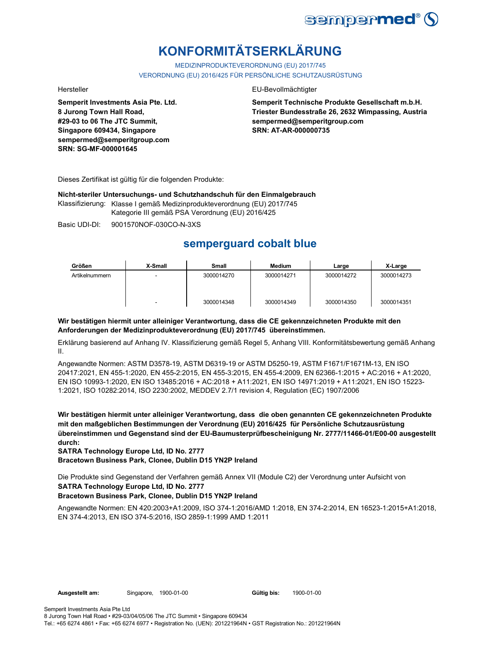

# **KONFORMITÄTSERKLÄRUNG**

MEDIZINPRODUKTEVERORDNUNG (EU) 2017/745 VERORDNUNG (EU) 2016/425 FÜR PERSÖNLICHE SCHUTZAUSRÜSTUNG

**Semperit Investments Asia Pte. Ltd. 8 Jurong Town Hall Road, #29-03 to 06 The JTC Summit, Singapore 609434, Singapore sempermed@semperitgroup.com SRN: SG-MF-000001645**

#### Hersteller EU-Bevollmächtigter

**Semperit Technische Produkte Gesellschaft m.b.H. Triester Bundesstraße 26, 2632 Wimpassing, Austria sempermed@semperitgroup.com SRN: AT-AR-000000735**

Dieses Zertifikat ist gültig für die folgenden Produkte:

**Nicht-steriler Untersuchungs- und Schutzhandschuh für den Einmalgebrauch**

Klassifizierung: Klasse I gemäß Medizinprodukteverordnung (EU) 2017/745 Kategorie III gemäß PSA Verordnung (EU) 2016/425

Basic UDI-DI: 9001570NOF-030CO-N-3XS

## **semperguard cobalt blue**

| Größen         | X-Small | <b>Small</b> | <b>Medium</b> | Large      | X-Large    |
|----------------|---------|--------------|---------------|------------|------------|
| Artikelnummern |         | 3000014270   | 3000014271    | 3000014272 | 3000014273 |
|                |         | 3000014348   | 3000014349    | 3000014350 | 3000014351 |

### **Wir bestätigen hiermit unter alleiniger Verantwortung, dass die CE gekennzeichneten Produkte mit den Anforderungen der Medizinprodukteverordnung (EU) 2017/745 übereinstimmen.**

Erklärung basierend auf Anhang IV. Klassifizierung gemäß Regel 5, Anhang VIII. Konformitätsbewertung gemäß Anhang II.

Angewandte Normen: ASTM D3578-19, ASTM D6319-19 or ASTM D5250-19, ASTM F1671/F1671M-13, EN ISO 20417:2021, EN 455-1:2020, EN 455-2:2015, EN 455-3:2015, EN 455-4:2009, EN 62366-1:2015 + AC:2016 + A1:2020, EN ISO 10993-1:2020, EN ISO 13485:2016 + AC:2018 + A11:2021, EN ISO 14971:2019 + A11:2021, EN ISO 15223- 1:2021, ISO 10282:2014, ISO 2230:2002, MEDDEV 2.7/1 revision 4, Regulation (EC) 1907/2006

**Wir bestätigen hiermit unter alleiniger Verantwortung, dass die oben genannten CE gekennzeichneten Produkte mit den maßgeblichen Bestimmungen der Verordnung (EU) 2016/425 für Persönliche Schutzausrüstung übereinstimmen und Gegenstand sind der EU-Baumusterprüfbescheinigung Nr. 2777/11466-01/E00-00 ausgestellt durch:**

**SATRA Technology Europe Ltd, ID No. 2777**

**Bracetown Business Park, Clonee, Dublin D15 YN2P Ireland**

Die Produkte sind Gegenstand der Verfahren gemäß Annex VII (Module C2) der Verordnung unter Aufsicht von **SATRA Technology Europe Ltd, ID No. 2777**

### **Bracetown Business Park, Clonee, Dublin D15 YN2P Ireland**

Angewandte Normen: EN 420:2003+A1:2009, ISO 374-1:2016/AMD 1:2018, EN 374-2:2014, EN 16523-1:2015+A1:2018, EN 374-4:2013, EN ISO 374-5:2016, ISO 2859-1:1999 AMD 1:2011

Gültig bis: 1900-01-00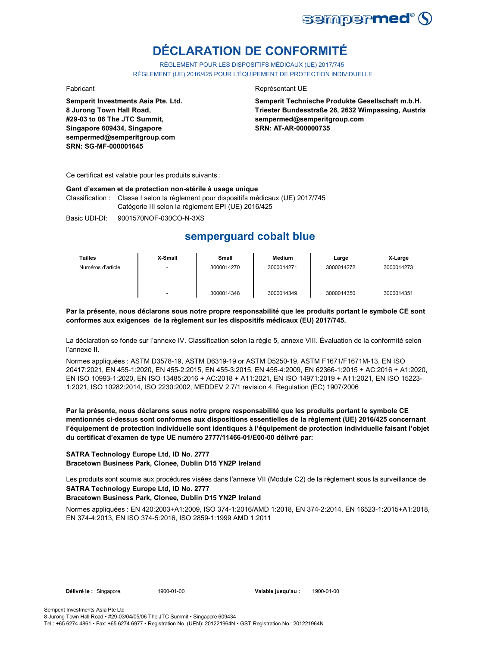

# **DÉCLARATION DE CONFORMITÉ**

RÈGLEMENT POUR LES DISPOSITIFS MÉDICAUX (UE) 2017/745 RÈGLEMENT (UE) 2016/425 POUR L'ÉQUIPEMENT DE PROTECTION INDIVIDUELLE

**Semperit Investments Asia Pte. Ltd. 8 Jurong Town Hall Road, #29-03 to 06 The JTC Summit, Singapore 609434, Singapore sempermed@semperitgroup.com SRN: SG-MF-000001645**

#### Fabricant **Representant UE**

**Semperit Technische Produkte Gesellschaft m.b.H. Triester Bundesstraße 26, 2632 Wimpassing, Austria sempermed@semperitgroup.com SRN: AT-AR-000000735**

Ce certificat est valable pour les produits suivants :

#### **Gant d'examen et de protection non-stérile à usage unique**

Classification : Classe I selon la règlement pour dispositifs médicaux (UE) 2017/745 Catégorie III selon la règlement EPI (UE) 2016/425

Basic UDI-DI: 9001570NOF-030CO-N-3XS

## **semperguard cobalt blue**

| <b>Tailles</b>    | X-Small | Small      | <b>Medium</b> | Large      | X-Large    |
|-------------------|---------|------------|---------------|------------|------------|
| Numéros d'article |         | 3000014270 | 3000014271    | 3000014272 | 3000014273 |
|                   |         | 3000014348 | 3000014349    | 3000014350 | 3000014351 |

#### **Par la présente, nous déclarons sous notre propre responsabilité que les produits portant le symbole CE sont conformes aux exigences de la règlement sur les dispositifs médicaux (EU) 2017/745.**

La déclaration se fonde sur l'annexe IV. Classification selon la règle 5, annexe VIII. Évaluation de la conformité selon l'annexe II.

Normes appliquées : ASTM D3578-19, ASTM D6319-19 or ASTM D5250-19, ASTM F1671/F1671M-13, EN ISO 20417:2021, EN 455-1:2020, EN 455-2:2015, EN 455-3:2015, EN 455-4:2009, EN 62366-1:2015 + AC:2016 + A1:2020, EN ISO 10993-1:2020, EN ISO 13485:2016 + AC:2018 + A11:2021, EN ISO 14971:2019 + A11:2021, EN ISO 15223- 1:2021, ISO 10282:2014, ISO 2230:2002, MEDDEV 2.7/1 revision 4, Regulation (EC) 1907/2006

**Par la présente, nous déclarons sous notre propre responsabilité que les produits portant le symbole CE mentionnés ci-dessus sont conformes aux dispositions essentielles de la règlement (UE) 2016/425 concernant l'équipement de protection individuelle sont identiques à l'équipement de protection individuelle faisant l'objet du certificat d'examen de type UE numéro 2777/11466-01/E00-00 délivré par:**

#### **SATRA Technology Europe Ltd, ID No. 2777 Bracetown Business Park, Clonee, Dublin D15 YN2P Ireland**

Les produits sont soumis aux procédures visées dans l'annexe VII (Module C2) de la règlement sous la surveillance de **SATRA Technology Europe Ltd, ID No. 2777**

### **Bracetown Business Park, Clonee, Dublin D15 YN2P Ireland**

Normes appliquées : EN 420:2003+A1:2009, ISO 374-1:2016/AMD 1:2018, EN 374-2:2014, EN 16523-1:2015+A1:2018, EN 374-4:2013, EN ISO 374-5:2016, ISO 2859-1:1999 AMD 1:2011

**Délivré le :** Singapore, 1900-01-00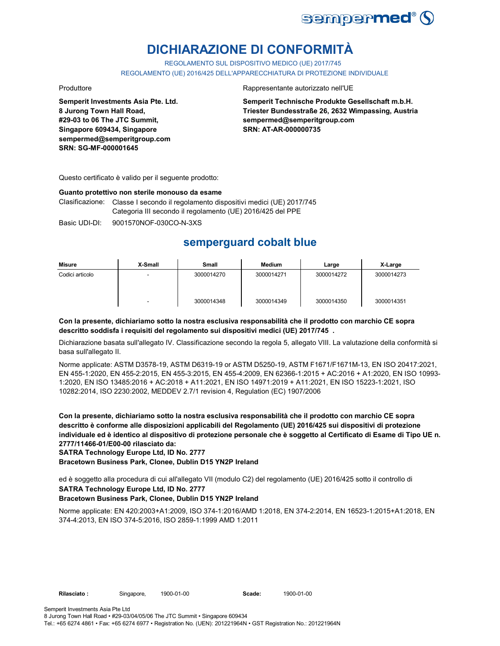

# **DICHIARAZIONE DI CONFORMITÀ**

REGOLAMENTO SUL DISPOSITIVO MEDICO (UE) 2017/745

REGOLAMENTO (UE) 2016/425 DELL'APPARECCHIATURA DI PROTEZIONE INDIVIDUALE

**Semperit Investments Asia Pte. Ltd. 8 Jurong Town Hall Road, #29-03 to 06 The JTC Summit, Singapore 609434, Singapore sempermed@semperitgroup.com SRN: SG-MF-000001645**

#### Produttore Rappresentante autorizzato nell'UE

**Semperit Technische Produkte Gesellschaft m.b.H. Triester Bundesstraße 26, 2632 Wimpassing, Austria sempermed@semperitgroup.com SRN: AT-AR-000000735**

Questo certificato è valido per il seguente prodotto:

#### **Guanto protettivo non sterile monouso da esame**

Clasificazione: Classe I secondo il regolamento dispositivi medici (UE) 2017/745 Categoria III secondo il regolamento (UE) 2016/425 del PPE

Basic UDI-DI: 9001570NOF-030CO-N-3XS

## **semperguard cobalt blue**

| Misure          | X-Small | Small      | Medium     | Large      | X-Large    |
|-----------------|---------|------------|------------|------------|------------|
| Codici articolo |         | 3000014270 | 3000014271 | 3000014272 | 3000014273 |
|                 | -       | 3000014348 | 3000014349 | 3000014350 | 3000014351 |

#### **Con la presente, dichiariamo sotto la nostra esclusiva responsabilità che il prodotto con marchio CE sopra descritto soddisfa i requisiti del regolamento sui dispositivi medici (UE) 2017/745 .**

Dichiarazione basata sull'allegato IV. Classificazione secondo la regola 5, allegato VIII. La valutazione della conformità si basa sull'allegato II.

Norme applicate: ASTM D3578-19, ASTM D6319-19 or ASTM D5250-19, ASTM F1671/F1671M-13, EN ISO 20417:2021, EN 455-1:2020, EN 455-2:2015, EN 455-3:2015, EN 455-4:2009, EN 62366-1:2015 + AC:2016 + A1:2020, EN ISO 10993- 1:2020, EN ISO 13485:2016 + AC:2018 + A11:2021, EN ISO 14971:2019 + A11:2021, EN ISO 15223-1:2021, ISO 10282:2014, ISO 2230:2002, MEDDEV 2.7/1 revision 4, Regulation (EC) 1907/2006

**Con la presente, dichiariamo sotto la nostra esclusiva responsabilità che il prodotto con marchio CE sopra descritto è conforme alle disposizioni applicabili del Regolamento (UE) 2016/425 sui dispositivi di protezione individuale ed è identico al dispositivo di protezione personale che è soggetto al Certificato di Esame di Tipo UE n. 2777/11466-01/E00-00 rilasciato da:**

**SATRA Technology Europe Ltd, ID No. 2777**

**Bracetown Business Park, Clonee, Dublin D15 YN2P Ireland**

ed è soggetto alla procedura di cui all'allegato VII (modulo C2) del regolamento (UE) 2016/425 sotto il controllo di **SATRA Technology Europe Ltd, ID No. 2777**

#### **Bracetown Business Park, Clonee, Dublin D15 YN2P Ireland**

Norme applicate: EN 420:2003+A1:2009, ISO 374-1:2016/AMD 1:2018, EN 374-2:2014, EN 16523-1:2015+A1:2018, EN 374-4:2013, EN ISO 374-5:2016, ISO 2859-1:1999 AMD 1:2011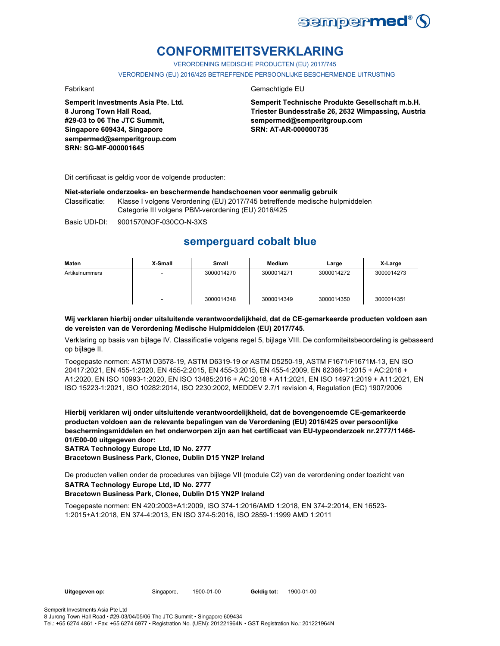

# **CONFORMITEITSVERKLARING**

VERORDENING MEDISCHE PRODUCTEN (EU) 2017/745

VERORDENING (EU) 2016/425 BETREFFENDE PERSOONLIJKE BESCHERMENDE UITRUSTING

**Semperit Investments Asia Pte. Ltd. 8 Jurong Town Hall Road, #29-03 to 06 The JTC Summit, Singapore 609434, Singapore sempermed@semperitgroup.com SRN: SG-MF-000001645**

### Fabrikant Gemachtigde EU

**Semperit Technische Produkte Gesellschaft m.b.H. Triester Bundesstraße 26, 2632 Wimpassing, Austria sempermed@semperitgroup.com SRN: AT-AR-000000735**

Dit certificaat is geldig voor de volgende producten:

#### **Niet-steriele onderzoeks- en beschermende handschoenen voor eenmalig gebruik**

Classificatie: Klasse I volgens Verordening (EU) 2017/745 betreffende medische hulpmiddelen Categorie III volgens PBM-verordening (EU) 2016/425

Basic UDI-DI: 9001570NOF-030CO-N-3XS

## **semperguard cobalt blue**

| Maten          | X-Small | Small      | Medium     | Large      | X-Large    |
|----------------|---------|------------|------------|------------|------------|
| Artikelnummers |         | 3000014270 | 3000014271 | 3000014272 | 3000014273 |
|                | -       | 3000014348 | 3000014349 | 3000014350 | 3000014351 |

#### **Wij verklaren hierbij onder uitsluitende verantwoordelijkheid, dat de CE-gemarkeerde producten voldoen aan de vereisten van de Verordening Medische Hulpmiddelen (EU) 2017/745.**

Verklaring op basis van bijlage IV. Classificatie volgens regel 5, bijlage VIII. De conformiteitsbeoordeling is gebaseerd op bijlage II.

Toegepaste normen: ASTM D3578-19, ASTM D6319-19 or ASTM D5250-19, ASTM F1671/F1671M-13, EN ISO 20417:2021, EN 455-1:2020, EN 455-2:2015, EN 455-3:2015, EN 455-4:2009, EN 62366-1:2015 + AC:2016 + A1:2020, EN ISO 10993-1:2020, EN ISO 13485:2016 + AC:2018 + A11:2021, EN ISO 14971:2019 + A11:2021, EN ISO 15223-1:2021, ISO 10282:2014, ISO 2230:2002, MEDDEV 2.7/1 revision 4, Regulation (EC) 1907/2006

**Hierbij verklaren wij onder uitsluitende verantwoordelijkheid, dat de bovengenoemde CE-gemarkeerde producten voldoen aan de relevante bepalingen van de Verordening (EU) 2016/425 over persoonlijke beschermingsmiddelen en het onderworpen zijn aan het certificaat van EU-typeonderzoek nr.2777/11466- 01/E00-00 uitgegeven door:**

**SATRA Technology Europe Ltd, ID No. 2777**

**Bracetown Business Park, Clonee, Dublin D15 YN2P Ireland**

De producten vallen onder de procedures van bijlage VII (module C2) van de verordening onder toezicht van **SATRA Technology Europe Ltd, ID No. 2777**

#### **Bracetown Business Park, Clonee, Dublin D15 YN2P Ireland**

Toegepaste normen: EN 420:2003+A1:2009, ISO 374-1:2016/AMD 1:2018, EN 374-2:2014, EN 16523- 1:2015+A1:2018, EN 374-4:2013, EN ISO 374-5:2016, ISO 2859-1:1999 AMD 1:2011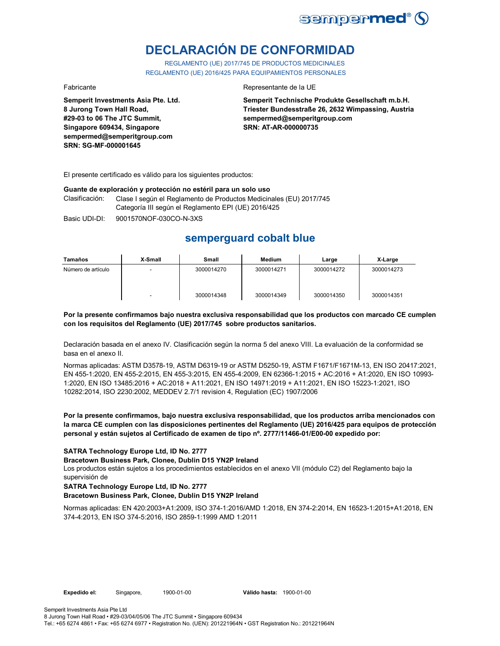

# **DECLARACIÓN DE CONFORMIDAD**

REGLAMENTO (UE) 2017/745 DE PRODUCTOS MEDICINALES REGLAMENTO (UE) 2016/425 PARA EQUIPAMIENTOS PERSONALES

**Semperit Investments Asia Pte. Ltd. 8 Jurong Town Hall Road, #29-03 to 06 The JTC Summit, Singapore 609434, Singapore sempermed@semperitgroup.com SRN: SG-MF-000001645**

#### Fabricante Representante de la UE

**Semperit Technische Produkte Gesellschaft m.b.H. Triester Bundesstraße 26, 2632 Wimpassing, Austria sempermed@semperitgroup.com SRN: AT-AR-000000735**

El presente certificado es válido para los siguientes productos:

#### **Guante de exploración y protección no estéril para un solo uso**

Clasificación: Clase I según el Reglamento de Productos Medicinales (EU) 2017/745 Categoría III según el Reglamento EPI (UE) 2016/425

Basic UDI-DI: 9001570NOF-030CO-N-3XS

## **semperguard cobalt blue**

| Tamaños            | X-Small                  | Small      | Medium     | Large      | X-Large    |
|--------------------|--------------------------|------------|------------|------------|------------|
| Número de artículo | $\overline{\phantom{0}}$ | 3000014270 | 3000014271 | 3000014272 | 3000014273 |
|                    | $\overline{\phantom{0}}$ | 3000014348 | 3000014349 | 3000014350 | 3000014351 |

#### **Por la presente confirmamos bajo nuestra exclusiva responsabilidad que los productos con marcado CE cumplen con los requisitos del Reglamento (UE) 2017/745 sobre productos sanitarios.**

Declaración basada en el anexo IV. Clasificación según la norma 5 del anexo VIII. La evaluación de la conformidad se basa en el anexo II.

Normas aplicadas: ASTM D3578-19, ASTM D6319-19 or ASTM D5250-19, ASTM F1671/F1671M-13, EN ISO 20417:2021, EN 455-1:2020, EN 455-2:2015, EN 455-3:2015, EN 455-4:2009, EN 62366-1:2015 + AC:2016 + A1:2020, EN ISO 10993- 1:2020, EN ISO 13485:2016 + AC:2018 + A11:2021, EN ISO 14971:2019 + A11:2021, EN ISO 15223-1:2021, ISO 10282:2014, ISO 2230:2002, MEDDEV 2.7/1 revision 4, Regulation (EC) 1907/2006

#### **Por la presente confirmamos, bajo nuestra exclusiva responsabilidad, que los productos arriba mencionados con la marca CE cumplen con las disposiciones pertinentes del Reglamento (UE) 2016/425 para equipos de protección personal y están sujetos al Certificado de examen de tipo nº. 2777/11466-01/E00-00 expedido por:**

#### **SATRA Technology Europe Ltd, ID No. 2777**

#### **Bracetown Business Park, Clonee, Dublin D15 YN2P Ireland**

Los productos están sujetos a los procedimientos establecidos en el anexo VII (módulo C2) del Reglamento bajo la supervisión de

#### **SATRA Technology Europe Ltd, ID No. 2777**

#### **Bracetown Business Park, Clonee, Dublin D15 YN2P Ireland**

Normas aplicadas: EN 420:2003+A1:2009, ISO 374-1:2016/AMD 1:2018, EN 374-2:2014, EN 16523-1:2015+A1:2018, EN 374-4:2013, EN ISO 374-5:2016, ISO 2859-1:1999 AMD 1:2011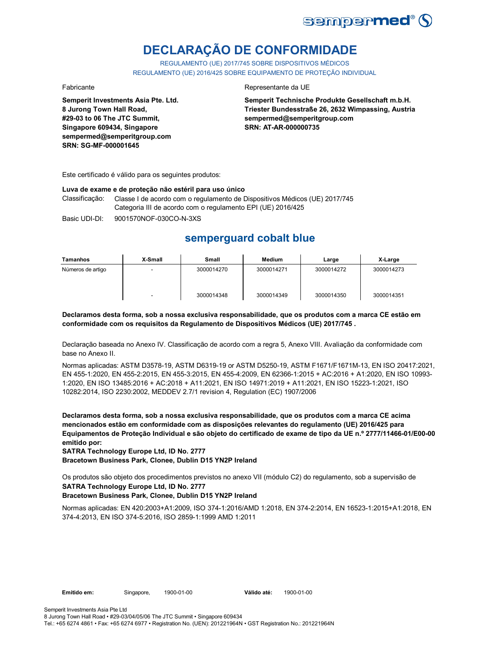

# **DECLARAÇÃO DE CONFORMIDADE**

REGULAMENTO (UE) 2017/745 SOBRE DISPOSITIVOS MÉDICOS REGULAMENTO (UE) 2016/425 SOBRE EQUIPAMENTO DE PROTEÇÃO INDIVIDUAL

**Semperit Investments Asia Pte. Ltd. 8 Jurong Town Hall Road, #29-03 to 06 The JTC Summit, Singapore 609434, Singapore sempermed@semperitgroup.com SRN: SG-MF-000001645**

#### Fabricante Representante da UE

**Semperit Technische Produkte Gesellschaft m.b.H. Triester Bundesstraße 26, 2632 Wimpassing, Austria sempermed@semperitgroup.com SRN: AT-AR-000000735**

Este certificado é válido para os seguintes produtos:

#### **Luva de exame e de proteção não estéril para uso único**

Classificação: Classe I de acordo com o regulamento de Dispositivos Médicos (UE) 2017/745 Categoria III de acordo com o regulamento EPI (UE) 2016/425

Basic UDI-DI: 9001570NOF-030CO-N-3XS

## **semperguard cobalt blue**

| Tamanhos          | X-Small                  | <b>Small</b> | <b>Medium</b> | Large      | X-Large    |
|-------------------|--------------------------|--------------|---------------|------------|------------|
| Números de artigo | -                        | 3000014270   | 3000014271    | 3000014272 | 3000014273 |
|                   | $\overline{\phantom{a}}$ | 3000014348   | 3000014349    | 3000014350 | 3000014351 |

**Declaramos desta forma, sob a nossa exclusiva responsabilidade, que os produtos com a marca CE estão em conformidade com os requisitos da Regulamento de Dispositivos Médicos (UE) 2017/745 .**

Declaração baseada no Anexo IV. Classificação de acordo com a regra 5, Anexo VIII. Avaliação da conformidade com base no Anexo II.

Normas aplicadas: ASTM D3578-19, ASTM D6319-19 or ASTM D5250-19, ASTM F1671/F1671M-13, EN ISO 20417:2021, EN 455-1:2020, EN 455-2:2015, EN 455-3:2015, EN 455-4:2009, EN 62366-1:2015 + AC:2016 + A1:2020, EN ISO 10993- 1:2020, EN ISO 13485:2016 + AC:2018 + A11:2021, EN ISO 14971:2019 + A11:2021, EN ISO 15223-1:2021, ISO 10282:2014, ISO 2230:2002, MEDDEV 2.7/1 revision 4, Regulation (EC) 1907/2006

**Declaramos desta forma, sob a nossa exclusiva responsabilidade, que os produtos com a marca CE acima mencionados estão em conformidade com as disposições relevantes do regulamento (UE) 2016/425 para Equipamentos de Proteção Individual e são objeto do certificado de exame de tipo da UE n.º 2777/11466-01/E00-00 emitido por:**

**SATRA Technology Europe Ltd, ID No. 2777**

**Bracetown Business Park, Clonee, Dublin D15 YN2P Ireland**

Os produtos são objeto dos procedimentos previstos no anexo VII (módulo C2) do regulamento, sob a supervisão de **SATRA Technology Europe Ltd, ID No. 2777**

### **Bracetown Business Park, Clonee, Dublin D15 YN2P Ireland**

Normas aplicadas: EN 420:2003+A1:2009, ISO 374-1:2016/AMD 1:2018, EN 374-2:2014, EN 16523-1:2015+A1:2018, EN 374-4:2013, EN ISO 374-5:2016, ISO 2859-1:1999 AMD 1:2011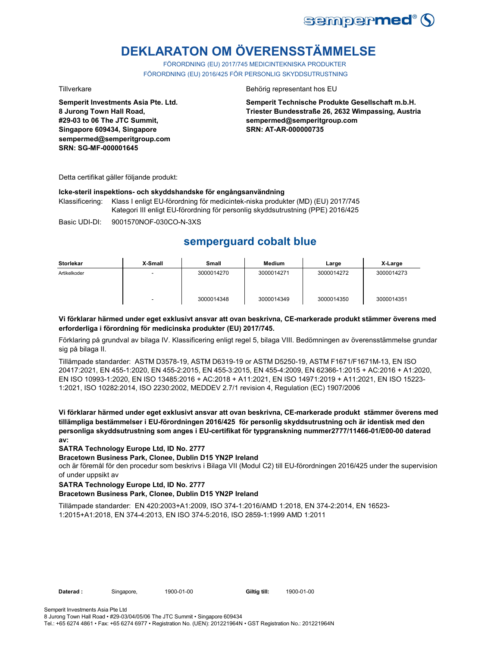

# **DEKLARATON OM ÖVERENSSTÄMMELSE**

FÖRORDNING (EU) 2017/745 MEDICINTEKNISKA PRODUKTER FÖRORDNING (EU) 2016/425 FÖR PERSONLIG SKYDDSUTRUSTNING

**Semperit Investments Asia Pte. Ltd. 8 Jurong Town Hall Road, #29-03 to 06 The JTC Summit, Singapore 609434, Singapore sempermed@semperitgroup.com SRN: SG-MF-000001645**

#### Tillverkare Behörig representant hos EU

**Semperit Technische Produkte Gesellschaft m.b.H. Triester Bundesstraße 26, 2632 Wimpassing, Austria sempermed@semperitgroup.com SRN: AT-AR-000000735**

Detta certifikat gäller följande produkt:

#### **Icke-steril inspektions- och skyddshandske för engångsanvändning**

Klassificering: Klass I enligt EU-förordning för medicintek-niska produkter (MD) (EU) 2017/745 Kategori III enligt EU-förordning för personlig skyddsutrustning (PPE) 2016/425

Basic UDI-DI: 9001570NOF-030CO-N-3XS

## **semperguard cobalt blue**

| <b>Storlekar</b> | X-Small                  | <b>Small</b> | <b>Medium</b> | Large      | X-Large    |
|------------------|--------------------------|--------------|---------------|------------|------------|
| Artikelkoder     | -                        | 3000014270   | 3000014271    | 3000014272 | 3000014273 |
|                  | $\overline{\phantom{0}}$ | 3000014348   | 3000014349    | 3000014350 | 3000014351 |

#### **Vi förklarar härmed under eget exklusivt ansvar att ovan beskrivna, CE-markerade produkt stämmer överens med erforderliga i förordning för medicinska produkter (EU) 2017/745.**

Förklaring på grundval av bilaga IV. Klassificering enligt regel 5, bilaga VIII. Bedömningen av överensstämmelse grundar sig på bilaga II.

Tillämpade standarder: ASTM D3578-19, ASTM D6319-19 or ASTM D5250-19, ASTM F1671/F1671M-13, EN ISO 20417:2021, EN 455-1:2020, EN 455-2:2015, EN 455-3:2015, EN 455-4:2009, EN 62366-1:2015 + AC:2016 + A1:2020, EN ISO 10993-1:2020, EN ISO 13485:2016 + AC:2018 + A11:2021, EN ISO 14971:2019 + A11:2021, EN ISO 15223- 1:2021, ISO 10282:2014, ISO 2230:2002, MEDDEV 2.7/1 revision 4, Regulation (EC) 1907/2006

**Vi förklarar härmed under eget exklusivt ansvar att ovan beskrivna, CE-markerade produkt stämmer överens med tillämpliga bestämmelser i EU-förordningen 2016/425 för personlig skyddsutrustning och är identisk med den personliga skyddsutrustning som anges i EU-certifikat för typgranskning nummer2777/11466-01/E00-00 daterad av:**

#### **SATRA Technology Europe Ltd, ID No. 2777**

#### **Bracetown Business Park, Clonee, Dublin D15 YN2P Ireland**

och är föremål för den procedur som beskrivs i Bilaga VII (Modul C2) till EU-förordningen 2016/425 under the supervision of under uppsikt av

#### **SATRA Technology Europe Ltd, ID No. 2777**

#### **Bracetown Business Park, Clonee, Dublin D15 YN2P Ireland**

Tillämpade standarder: EN 420:2003+A1:2009, ISO 374-1:2016/AMD 1:2018, EN 374-2:2014, EN 16523- 1:2015+A1:2018, EN 374-4:2013, EN ISO 374-5:2016, ISO 2859-1:1999 AMD 1:2011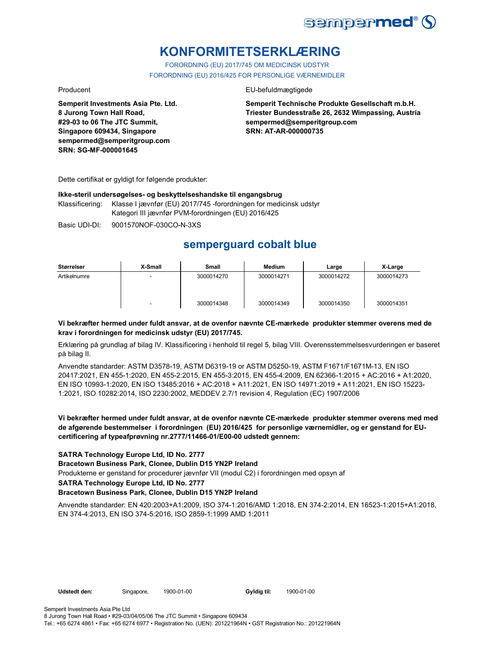

# **KONFORMITETSERKLÆRING**

FORORDNING (EU) 2017/745 OM MEDICINSK UDSTYR FORORDNING (EU) 2016/425 FOR PERSONLIGE VÆRNEMIDLER

**Semperit Investments Asia Pte. Ltd. 8 Jurong Town Hall Road, #29-03 to 06 The JTC Summit, Singapore 609434, Singapore sempermed@semperitgroup.com SRN: SG-MF-000001645**

#### Producent EU-befuldmægtigede

**Semperit Technische Produkte Gesellschaft m.b.H. Triester Bundesstraße 26, 2632 Wimpassing, Austria sempermed@semperitgroup.com SRN: AT-AR-000000735**

Dette certifikat er gyldigt for følgende produkter:

#### **Ikke-steril undersøgelses- og beskyttelseshandske til engangsbrug**

Klassificering: Klasse I jævnfør (EU) 2017/745 -forordningen for medicinsk udstyr Kategori III jævnfør PVM-forordningen (EU) 2016/425

Basic UDI-DI: 9001570NOF-030CO-N-3XS

## **semperguard cobalt blue**

| Størrelser   | X-Small | Small      | <b>Medium</b> | Large      | X-Large    |
|--------------|---------|------------|---------------|------------|------------|
| Artikelnumre |         | 3000014270 | 3000014271    | 3000014272 | 3000014273 |
|              |         | 3000014348 | 3000014349    | 3000014350 | 3000014351 |

#### **Vi bekræfter hermed under fuldt ansvar, at de ovenfor nævnte CE-mærkede produkter stemmer overens med de krav i forordningen for medicinsk udstyr (EU) 2017/745.**

Erklæring på grundlag af bilag IV. Klassificering i henhold til regel 5, bilag VIII. Overensstemmelsesvurderingen er baseret på bilag II.

Anvendte standarder: ASTM D3578-19, ASTM D6319-19 or ASTM D5250-19, ASTM F1671/F1671M-13, EN ISO 20417:2021, EN 455-1:2020, EN 455-2:2015, EN 455-3:2015, EN 455-4:2009, EN 62366-1:2015 + AC:2016 + A1:2020, EN ISO 10993-1:2020, EN ISO 13485:2016 + AC:2018 + A11:2021, EN ISO 14971:2019 + A11:2021, EN ISO 15223- 1:2021, ISO 10282:2014, ISO 2230:2002, MEDDEV 2.7/1 revision 4, Regulation (EC) 1907/2006

### **Vi bekræfter hermed under fuldt ansvar, at de ovenfor nævnte CE-mærkede produkter stemmer overens med med de afgørende bestemmelser i forordningen (EU) 2016/425 for personlige værnemidler, og er genstand for EUcertificering af typeafprøvning nr.2777/11466-01/E00-00 udstedt gennem:**

#### **SATRA Technology Europe Ltd, ID No. 2777**

#### **Bracetown Business Park, Clonee, Dublin D15 YN2P Ireland**

Produkterne er genstand for procedurer jævnfør VII (modul C2) i forordningen med opsyn af

**SATRA Technology Europe Ltd, ID No. 2777**

#### **Bracetown Business Park, Clonee, Dublin D15 YN2P Ireland**

Anvendte standarder: EN 420:2003+A1:2009, ISO 374-1:2016/AMD 1:2018, EN 374-2:2014, EN 16523-1:2015+A1:2018, EN 374-4:2013, EN ISO 374-5:2016, ISO 2859-1:1999 AMD 1:2011

Gyldig til: 1900-01-00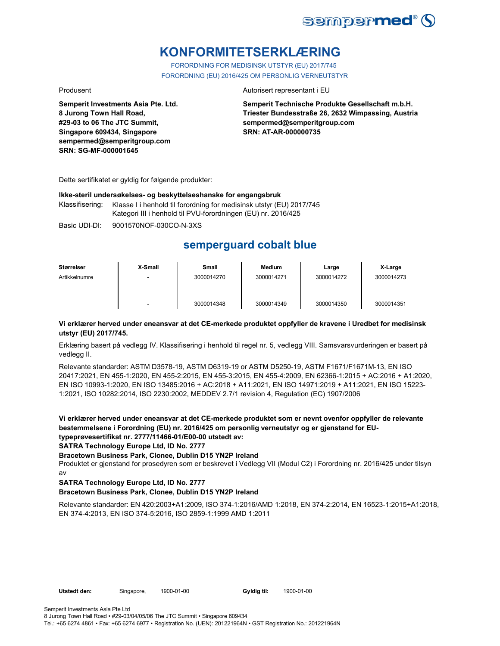

# **KONFORMITETSERKLÆRING**

FORORDNING FOR MEDISINSK UTSTYR (EU) 2017/745 FORORDNING (EU) 2016/425 OM PERSONLIG VERNEUTSTYR

**Semperit Investments Asia Pte. Ltd. 8 Jurong Town Hall Road, #29-03 to 06 The JTC Summit, Singapore 609434, Singapore sempermed@semperitgroup.com SRN: SG-MF-000001645**

#### Produsent **Autorisert representant i EU**

**Semperit Technische Produkte Gesellschaft m.b.H. Triester Bundesstraße 26, 2632 Wimpassing, Austria sempermed@semperitgroup.com SRN: AT-AR-000000735**

Dette sertifikatet er gyldig for følgende produkter:

#### **Ikke-steril undersøkelses- og beskyttelseshanske for engangsbruk**

Klassifisering: Klasse I i henhold til forordning for medisinsk utstyr (EU) 2017/745 Kategori III i henhold til PVU-forordningen (EU) nr. 2016/425

Basic UDI-DI: 9001570NOF-030CO-N-3XS

## **semperguard cobalt blue**

| <b>Størrelser</b> | X-Small | Small      | Medium     | Large      | X-Large    |
|-------------------|---------|------------|------------|------------|------------|
| Artikkelnumre     |         | 3000014270 | 3000014271 | 3000014272 | 3000014273 |
|                   |         | 3000014348 | 3000014349 | 3000014350 | 3000014351 |

#### **Vi erklærer herved under eneansvar at det CE-merkede produktet oppfyller de kravene i Uredbet for medisinsk utstyr (EU) 2017/745.**

Erklæring basert på vedlegg IV. Klassifisering i henhold til regel nr. 5, vedlegg VIII. Samsvarsvurderingen er basert på vedlegg II.

Relevante standarder: ASTM D3578-19, ASTM D6319-19 or ASTM D5250-19, ASTM F1671/F1671M-13, EN ISO 20417:2021, EN 455-1:2020, EN 455-2:2015, EN 455-3:2015, EN 455-4:2009, EN 62366-1:2015 + AC:2016 + A1:2020, EN ISO 10993-1:2020, EN ISO 13485:2016 + AC:2018 + A11:2021, EN ISO 14971:2019 + A11:2021, EN ISO 15223- 1:2021, ISO 10282:2014, ISO 2230:2002, MEDDEV 2.7/1 revision 4, Regulation (EC) 1907/2006

**Vi erklærer herved under eneansvar at det CE-merkede produktet som er nevnt ovenfor oppfyller de relevante bestemmelsene i Forordning (EU) nr. 2016/425 om personlig verneutstyr og er gjenstand for EUtypeprøvesertifikat nr. 2777/11466-01/E00-00 utstedt av:**

**SATRA Technology Europe Ltd, ID No. 2777**

**Bracetown Business Park, Clonee, Dublin D15 YN2P Ireland**

Produktet er gjenstand for prosedyren som er beskrevet i Vedlegg VII (Modul C2) i Forordning nr. 2016/425 under tilsyn av

### **SATRA Technology Europe Ltd, ID No. 2777**

#### **Bracetown Business Park, Clonee, Dublin D15 YN2P Ireland**

Relevante standarder: EN 420:2003+A1:2009, ISO 374-1:2016/AMD 1:2018, EN 374-2:2014, EN 16523-1:2015+A1:2018, EN 374-4:2013, EN ISO 374-5:2016, ISO 2859-1:1999 AMD 1:2011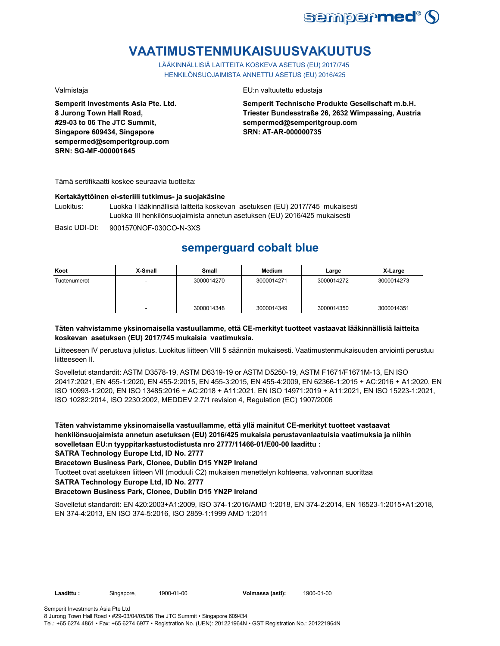

# **VAATIMUSTENMUKAISUUSVAKUUTUS**

LÄÄKINNÄLLISIÄ LAITTEITA KOSKEVA ASETUS (EU) 2017/745 HENKILÖNSUOJAIMISTA ANNETTU ASETUS (EU) 2016/425

**Semperit Investments Asia Pte. Ltd. 8 Jurong Town Hall Road, #29-03 to 06 The JTC Summit, Singapore 609434, Singapore sempermed@semperitgroup.com SRN: SG-MF-000001645**

#### Valmistaja EU:n valtuutettu edustaja

**Semperit Technische Produkte Gesellschaft m.b.H. Triester Bundesstraße 26, 2632 Wimpassing, Austria sempermed@semperitgroup.com SRN: AT-AR-000000735**

Tämä sertifikaatti koskee seuraavia tuotteita:

#### **Kertakäyttöinen ei-steriili tutkimus- ja suojakäsine**

Luokitus: Luokka I lääkinnällisiä laitteita koskevan asetuksen (EU) 2017/745 mukaisesti Luokka III henkilönsuojaimista annetun asetuksen (EU) 2016/425 mukaisesti

Basic UDI-DI: 9001570NOF-030CO-N-3XS

## **semperguard cobalt blue**

| Koot         | X-Small                  | Small      | Medium     | Large      | X-Large    |
|--------------|--------------------------|------------|------------|------------|------------|
| Tuotenumerot | $\overline{\phantom{a}}$ | 3000014270 | 3000014271 | 3000014272 | 3000014273 |
|              |                          | 3000014348 | 3000014349 | 3000014350 | 3000014351 |

#### **Täten vahvistamme yksinomaisella vastuullamme, että CE-merkityt tuotteet vastaavat lääkinnällisiä laitteita koskevan asetuksen (EU) 2017/745 mukaisia vaatimuksia.**

Liitteeseen IV perustuva julistus. Luokitus liitteen VIII 5 säännön mukaisesti. Vaatimustenmukaisuuden arviointi perustuu liitteeseen II.

Sovelletut standardit: ASTM D3578-19, ASTM D6319-19 or ASTM D5250-19, ASTM F1671/F1671M-13, EN ISO 20417:2021, EN 455-1:2020, EN 455-2:2015, EN 455-3:2015, EN 455-4:2009, EN 62366-1:2015 + AC:2016 + A1:2020, EN ISO 10993-1:2020, EN ISO 13485:2016 + AC:2018 + A11:2021, EN ISO 14971:2019 + A11:2021, EN ISO 15223-1:2021, ISO 10282:2014, ISO 2230:2002, MEDDEV 2.7/1 revision 4, Regulation (EC) 1907/2006

**Täten vahvistamme yksinomaisella vastuullamme, että yllä mainitut CE-merkityt tuotteet vastaavat henkilönsuojaimista annetun asetuksen (EU) 2016/425 mukaisia perustavanlaatuisia vaatimuksia ja niihin sovelletaan EU:n tyyppitarkastustodistusta nro 2777/11466-01/E00-00 laadittu :**

**SATRA Technology Europe Ltd, ID No. 2777**

**Bracetown Business Park, Clonee, Dublin D15 YN2P Ireland**

Tuotteet ovat asetuksen liitteen VII (moduuli C2) mukaisen menettelyn kohteena, valvonnan suorittaa

**SATRA Technology Europe Ltd, ID No. 2777**

### **Bracetown Business Park, Clonee, Dublin D15 YN2P Ireland**

Sovelletut standardit: EN 420:2003+A1:2009, ISO 374-1:2016/AMD 1:2018, EN 374-2:2014, EN 16523-1:2015+A1:2018, EN 374-4:2013, EN ISO 374-5:2016, ISO 2859-1:1999 AMD 1:2011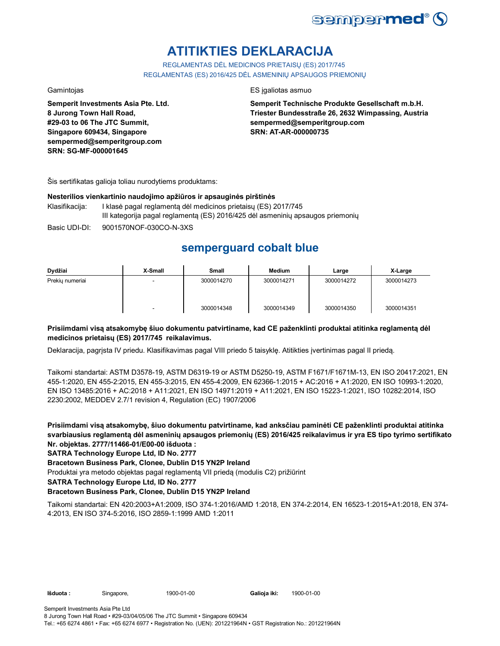

# **ATITIKTIES DEKLARACIJA**

REGLAMENTAS DĖL MEDICINOS PRIETAISŲ (ES) 2017/745 REGLAMENTAS (ES) 2016/425 DĖL ASMENINIŲ APSAUGOS PRIEMONIŲ

**Semperit Investments Asia Pte. Ltd. 8 Jurong Town Hall Road, #29-03 to 06 The JTC Summit, Singapore 609434, Singapore sempermed@semperitgroup.com SRN: SG-MF-000001645**

#### Gamintojas ES įgaliotas asmuo

**Semperit Technische Produkte Gesellschaft m.b.H. Triester Bundesstraße 26, 2632 Wimpassing, Austria sempermed@semperitgroup.com SRN: AT-AR-000000735**

Šis sertifikatas galioja toliau nurodytiems produktams:

#### **Nesterilios vienkartinio naudojimo apžiūros ir apsauginės pirštinės**

- Klasifikacija: I klasė pagal reglamentą dėl medicinos prietaisų (ES) 2017/745 III kategorija pagal reglamentą (ES) 2016/425 dėl asmeninių apsaugos priemonių
- Basic UDI-DI: 9001570NOF-030CO-N-3XS

## **semperguard cobalt blue**

| Dydžiai         | X-Small | Small      | Medium     | Large      | X-Large    |
|-----------------|---------|------------|------------|------------|------------|
| Prekiu numeriai |         | 3000014270 | 3000014271 | 3000014272 | 3000014273 |
|                 | -       | 3000014348 | 3000014349 | 3000014350 | 3000014351 |

### **Prisiimdami visą atsakomybę šiuo dokumentu patvirtiname, kad CE paženklinti produktai atitinka reglamentą dėl medicinos prietaisų (ES) 2017/745 reikalavimus.**

Deklaracija, pagrįsta IV priedu. Klasifikavimas pagal VIII priedo 5 taisyklę. Atitikties įvertinimas pagal II priedą.

Taikomi standartai: ASTM D3578-19, ASTM D6319-19 or ASTM D5250-19, ASTM F1671/F1671M-13, EN ISO 20417:2021, EN 455-1:2020, EN 455-2:2015, EN 455-3:2015, EN 455-4:2009, EN 62366-1:2015 + AC:2016 + A1:2020, EN ISO 10993-1:2020, EN ISO 13485:2016 + AC:2018 + A11:2021, EN ISO 14971:2019 + A11:2021, EN ISO 15223-1:2021, ISO 10282:2014, ISO 2230:2002, MEDDEV 2.7/1 revision 4, Regulation (EC) 1907/2006

**Prisiimdami visą atsakomybę, šiuo dokumentu patvirtiname, kad anksčiau paminėti CE paženklinti produktai atitinka svarbiausius reglamentą dėl asmeninių apsaugos priemonių (ES) 2016/425 reikalavimus ir yra ES tipo tyrimo sertifikato Nr. objektas. 2777/11466-01/E00-00 išduota :**

### **SATRA Technology Europe Ltd, ID No. 2777**

**Bracetown Business Park, Clonee, Dublin D15 YN2P Ireland**

Produktai yra metodo objektas pagal reglamentą VII priedą (modulis C2) prižiūrint

**SATRA Technology Europe Ltd, ID No. 2777**

### **Bracetown Business Park, Clonee, Dublin D15 YN2P Ireland**

Taikomi standartai: EN 420:2003+A1:2009, ISO 374-1:2016/AMD 1:2018, EN 374-2:2014, EN 16523-1:2015+A1:2018, EN 374- 4:2013, EN ISO 374-5:2016, ISO 2859-1:1999 AMD 1:2011

**Išduota :** Singapore, **Galioja iki:** 1900-01-00 1900-01-00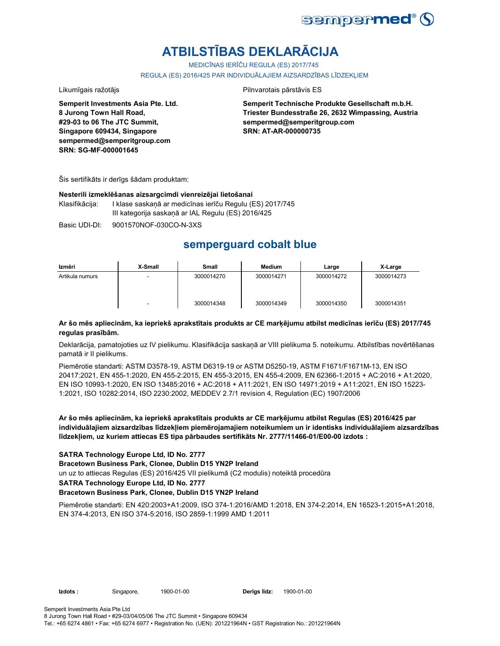

# **ATBILSTĪBAS DEKLARĀCIJA**

MEDICĪNAS IERĪČU REGULA (ES) 2017/745

REGULA (ES) 2016/425 PAR INDIVIDUĀLAJIEM AIZSARDZĪBAS LĪDZEKLIEM

Likumīgais ražotājs **Pilnvarotais pārstāvis ES** 

**Semperit Investments Asia Pte. Ltd. 8 Jurong Town Hall Road, #29-03 to 06 The JTC Summit, Singapore 609434, Singapore sempermed@semperitgroup.com SRN: SG-MF-000001645**

**Semperit Technische Produkte Gesellschaft m.b.H. Triester Bundesstraße 26, 2632 Wimpassing, Austria sempermed@semperitgroup.com SRN: AT-AR-000000735**

Šis sertifikāts ir derīgs šādam produktam:

#### **Nesterili izmeklēšanas aizsargcimdi vienreizējai lietošanai**

Klasifikācija: I klase saskaņā ar medicīnas ierīču Regulu (ES) 2017/745 III kategorija saskaņā ar IAL Regulu (ES) 2016/425

Basic UDI-DI: 9001570NOF-030CO-N-3XS

## **semperguard cobalt blue**

| Izmēri          | X-Small | Small      | Medium     | Large      | X-Large    |
|-----------------|---------|------------|------------|------------|------------|
| Artikula numurs |         | 3000014270 | 3000014271 | 3000014272 | 3000014273 |
|                 |         | 3000014348 | 3000014349 | 3000014350 | 3000014351 |

### **Ar šo mēs apliecinām, ka iepriekš aprakstītais produkts ar CE marķējumu atbilst medicīnas ierīču (ES) 2017/745 regulas prasībām.**

Deklarācija, pamatojoties uz IV pielikumu. Klasifikācija saskaņā ar VIII pielikuma 5. noteikumu. Atbilstības novērtēšanas pamatā ir II pielikums.

Piemērotie standarti: ASTM D3578-19, ASTM D6319-19 or ASTM D5250-19, ASTM F1671/F1671M-13, EN ISO 20417:2021, EN 455-1:2020, EN 455-2:2015, EN 455-3:2015, EN 455-4:2009, EN 62366-1:2015 + AC:2016 + A1:2020, EN ISO 10993-1:2020, EN ISO 13485:2016 + AC:2018 + A11:2021, EN ISO 14971:2019 + A11:2021, EN ISO 15223- 1:2021, ISO 10282:2014, ISO 2230:2002, MEDDEV 2.7/1 revision 4, Regulation (EC) 1907/2006

**Ar šo mēs apliecinām, ka iepriekš aprakstītais produkts ar CE marķējumu atbilst Regulas (ES) 2016/425 par individuālajiem aizsardzības līdzekļiem piemērojamajiem noteikumiem un ir identisks individuālajiem aizsardzības līdzekļiem, uz kuriem attiecas ES tipa pārbaudes sertifikāts Nr. 2777/11466-01/E00-00 izdots :**

#### **SATRA Technology Europe Ltd, ID No. 2777**

**Bracetown Business Park, Clonee, Dublin D15 YN2P Ireland**

un uz to attiecas Regulas (ES) 2016/425 VII pielikumā (C2 modulis) noteiktā procedūra

**SATRA Technology Europe Ltd, ID No. 2777**

#### **Bracetown Business Park, Clonee, Dublin D15 YN2P Ireland**

Piemērotie standarti: EN 420:2003+A1:2009, ISO 374-1:2016/AMD 1:2018, EN 374-2:2014, EN 16523-1:2015+A1:2018, EN 374-4:2013, EN ISO 374-5:2016, ISO 2859-1:1999 AMD 1:2011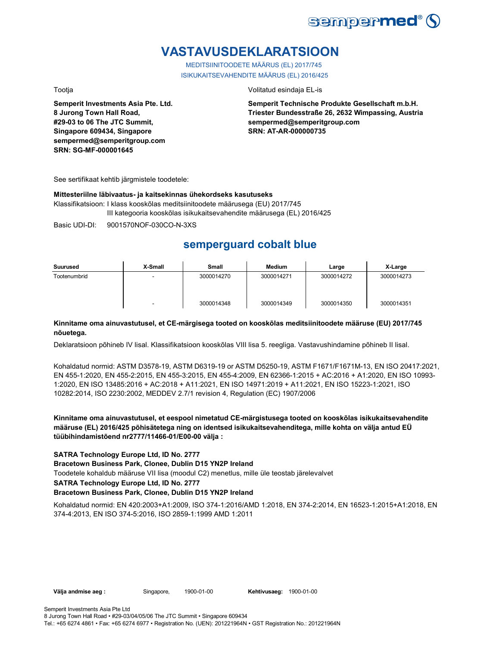

# **VASTAVUSDEKLARATSIOON**

MEDITSIINITOODETE MÄÄRUS (EL) 2017/745 ISIKUKAITSEVAHENDITE MÄÄRUS (EL) 2016/425

**Semperit Investments Asia Pte. Ltd. 8 Jurong Town Hall Road, #29-03 to 06 The JTC Summit, Singapore 609434, Singapore sempermed@semperitgroup.com SRN: SG-MF-000001645**

Tootja Volitatud esindaja EL-is

**Semperit Technische Produkte Gesellschaft m.b.H. Triester Bundesstraße 26, 2632 Wimpassing, Austria sempermed@semperitgroup.com SRN: AT-AR-000000735**

See sertifikaat kehtib järgmistele toodetele:

#### **Mittesteriilne läbivaatus- ja kaitsekinnas ühekordseks kasutuseks**

Klassifikatsioon: I klass kooskõlas meditsiinitoodete määrusega (EU) 2017/745 III kategooria kooskõlas isikukaitsevahendite määrusega (EL) 2016/425

Basic UDI-DI: 9001570NOF-030CO-N-3XS

## **semperguard cobalt blue**

| Suurused     | X-Small                  | <b>Small</b> | Medium     | Large      | X-Large    |
|--------------|--------------------------|--------------|------------|------------|------------|
| Tootenumbrid | $\overline{\phantom{a}}$ | 3000014270   | 3000014271 | 3000014272 | 3000014273 |
|              | ٠                        | 3000014348   | 3000014349 | 3000014350 | 3000014351 |

#### **Kinnitame oma ainuvastutusel, et CE-märgisega tooted on kooskõlas meditsiinitoodete määruse (EU) 2017/745 nõuetega.**

Deklaratsioon põhineb IV lisal. Klassifikatsioon kooskõlas VIII lisa 5. reegliga. Vastavushindamine põhineb II lisal.

Kohaldatud normid: ASTM D3578-19, ASTM D6319-19 or ASTM D5250-19, ASTM F1671/F1671M-13, EN ISO 20417:2021, EN 455-1:2020, EN 455-2:2015, EN 455-3:2015, EN 455-4:2009, EN 62366-1:2015 + AC:2016 + A1:2020, EN ISO 10993- 1:2020, EN ISO 13485:2016 + AC:2018 + A11:2021, EN ISO 14971:2019 + A11:2021, EN ISO 15223-1:2021, ISO 10282:2014, ISO 2230:2002, MEDDEV 2.7/1 revision 4, Regulation (EC) 1907/2006

**Kinnitame oma ainuvastutusel, et eespool nimetatud CE-märgistusega tooted on kooskõlas isikukaitsevahendite määruse (EL) 2016/425 põhisätetega ning on identsed isikukaitsevahenditega, mille kohta on välja antud EÜ tüübihindamistõend nr2777/11466-01/E00-00 välja :**

#### **SATRA Technology Europe Ltd, ID No. 2777**

**Bracetown Business Park, Clonee, Dublin D15 YN2P Ireland**

Toodetele kohaldub määruse VII lisa (moodul C2) menetlus, mille üle teostab järelevalvet

**SATRA Technology Europe Ltd, ID No. 2777**

#### **Bracetown Business Park, Clonee, Dublin D15 YN2P Ireland**

Kohaldatud normid: EN 420:2003+A1:2009, ISO 374-1:2016/AMD 1:2018, EN 374-2:2014, EN 16523-1:2015+A1:2018, EN 374-4:2013, EN ISO 374-5:2016, ISO 2859-1:1999 AMD 1:2011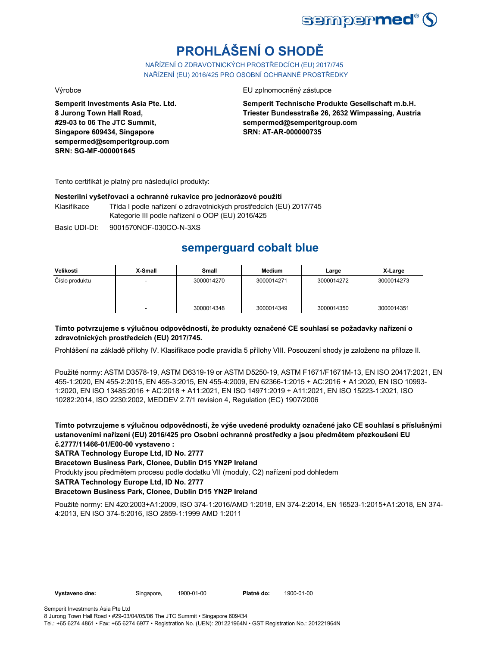

# **PROHLÁŠENÍ O SHODĚ**

NAŘÍZENÍ O ZDRAVOTNICKÝCH PROSTŘEDCÍCH (EU) 2017/745 NAŘÍZENÍ (EU) 2016/425 PRO OSOBNÍ OCHRANNÉ PROSTŘEDKY

**Semperit Investments Asia Pte. Ltd. 8 Jurong Town Hall Road, #29-03 to 06 The JTC Summit, Singapore 609434, Singapore sempermed@semperitgroup.com SRN: SG-MF-000001645**

Výrobce EU zplnomocněný zástupce

**Semperit Technische Produkte Gesellschaft m.b.H. Triester Bundesstraße 26, 2632 Wimpassing, Austria sempermed@semperitgroup.com SRN: AT-AR-000000735**

Tento certifikát je platný pro následující produkty:

#### **Nesterilní vyšetřovací a ochranné rukavice pro jednorázové použití**

Klasifikace Třída I podle nařízení o zdravotnických prostředcích (EU) 2017/745 Kategorie III podle nařízení o OOP (EU) 2016/425

Basic UDI-DI: 9001570NOF-030CO-N-3XS

## **semperguard cobalt blue**

| Velikosti      | X-Small | Small      | <b>Medium</b> | Large      | X-Large    |
|----------------|---------|------------|---------------|------------|------------|
| Číslo produktu | -       | 3000014270 | 3000014271    | 3000014272 | 3000014273 |
|                | -       | 3000014348 | 3000014349    | 3000014350 | 3000014351 |

### **Tímto potvrzujeme s výlučnou odpovědností, že produkty označené CE souhlasí se požadavky nařízení o zdravotnických prostředcích (EU) 2017/745.**

Prohlášení na základě přílohy IV. Klasifikace podle pravidla 5 přílohy VIII. Posouzení shody je založeno na příloze II.

Použité normy: ASTM D3578-19, ASTM D6319-19 or ASTM D5250-19, ASTM F1671/F1671M-13, EN ISO 20417:2021, EN 455-1:2020, EN 455-2:2015, EN 455-3:2015, EN 455-4:2009, EN 62366-1:2015 + AC:2016 + A1:2020, EN ISO 10993- 1:2020, EN ISO 13485:2016 + AC:2018 + A11:2021, EN ISO 14971:2019 + A11:2021, EN ISO 15223-1:2021, ISO 10282:2014, ISO 2230:2002, MEDDEV 2.7/1 revision 4, Regulation (EC) 1907/2006

**Tímto potvrzujeme s výlučnou odpovědností, že výše uvedené produkty označené jako CE souhlasí s příslušnými ustanoveními nařízení (EU) 2016/425 pro Osobní ochranné prostředky a jsou předmětem přezkoušení EU č.2777/11466-01/E00-00 vystaveno :**

**SATRA Technology Europe Ltd, ID No. 2777**

**Bracetown Business Park, Clonee, Dublin D15 YN2P Ireland**

Produkty jsou předmětem procesu podle dodatku VII (moduly, C2) nařízení pod dohledem

**SATRA Technology Europe Ltd, ID No. 2777**

### **Bracetown Business Park, Clonee, Dublin D15 YN2P Ireland**

Použité normy: EN 420:2003+A1:2009, ISO 374-1:2016/AMD 1:2018, EN 374-2:2014, EN 16523-1:2015+A1:2018, EN 374- 4:2013, EN ISO 374-5:2016, ISO 2859-1:1999 AMD 1:2011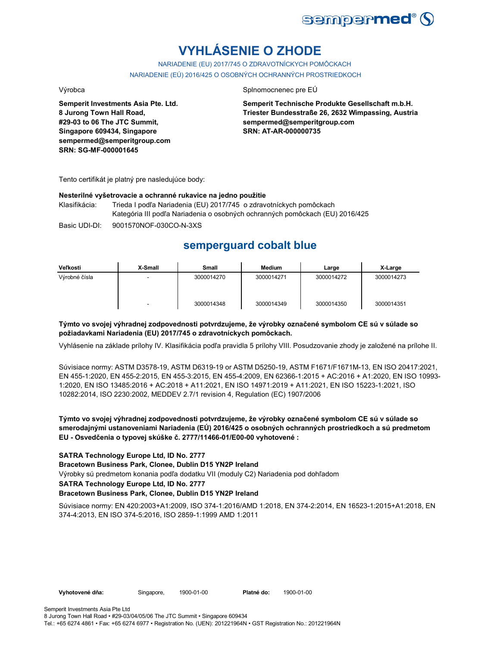

# **VYHLÁSENIE O ZHODE**

NARIADENIE (EU) 2017/745 O ZDRAVOTNÍCKYCH POMÔCKACH NARIADENIE (EÚ) 2016/425 O OSOBNÝCH OCHRANNÝCH PROSTRIEDKOCH

**Semperit Investments Asia Pte. Ltd. 8 Jurong Town Hall Road, #29-03 to 06 The JTC Summit, Singapore 609434, Singapore sempermed@semperitgroup.com SRN: SG-MF-000001645**

#### Výrobca Splnomocnenec pre EÚ

**Semperit Technische Produkte Gesellschaft m.b.H. Triester Bundesstraße 26, 2632 Wimpassing, Austria sempermed@semperitgroup.com SRN: AT-AR-000000735**

Tento certifikát je platný pre nasledujúce body:

#### **Nesterilné vyšetrovacie a ochranné rukavice na jedno použitie**

Klasifikácia: Trieda I podľa Nariadenia (EU) 2017/745 o zdravotníckych pomôckach Kategória III podľa Nariadenia o osobných ochranných pomôckach (EU) 2016/425

Basic UDI-DI: 9001570NOF-030CO-N-3XS

## **semperguard cobalt blue**

| Veľkosti      | X-Small | Small      | Medium     | Large      | X-Large    |
|---------------|---------|------------|------------|------------|------------|
| Výrobné čísla | -       | 3000014270 | 3000014271 | 3000014272 | 3000014273 |
|               | -       | 3000014348 | 3000014349 | 3000014350 | 3000014351 |

### **Týmto vo svojej výhradnej zodpovednosti potvrdzujeme, že výrobky označené symbolom CE sú v súlade so požiadavkami Nariadenia (EU) 2017/745 o zdravotníckych pomôckach.**

Vyhlásenie na základe prílohy IV. Klasifikácia podľa pravidla 5 prílohy VIII. Posudzovanie zhody je založené na prílohe II.

Súvisiace normy: ASTM D3578-19, ASTM D6319-19 or ASTM D5250-19, ASTM F1671/F1671M-13, EN ISO 20417:2021, EN 455-1:2020, EN 455-2:2015, EN 455-3:2015, EN 455-4:2009, EN 62366-1:2015 + AC:2016 + A1:2020, EN ISO 10993- 1:2020, EN ISO 13485:2016 + AC:2018 + A11:2021, EN ISO 14971:2019 + A11:2021, EN ISO 15223-1:2021, ISO 10282:2014, ISO 2230:2002, MEDDEV 2.7/1 revision 4, Regulation (EC) 1907/2006

### **Týmto vo svojej výhradnej zodpovednosti potvrdzujeme, že výrobky označené symbolom CE sú v súlade so smerodajnými ustanoveniami Nariadenia (EÚ) 2016/425 o osobných ochranných prostriedkoch a sú predmetom EU - Osvedčenia o typovej skúške č. 2777/11466-01/E00-00 vyhotovené :**

#### **SATRA Technology Europe Ltd, ID No. 2777**

**Bracetown Business Park, Clonee, Dublin D15 YN2P Ireland**

Výrobky sú predmetom konania podľa dodatku VII (moduly C2) Nariadenia pod dohľadom

#### **SATRA Technology Europe Ltd, ID No. 2777**

#### **Bracetown Business Park, Clonee, Dublin D15 YN2P Ireland**

Súvisiace normy: EN 420:2003+A1:2009, ISO 374-1:2016/AMD 1:2018, EN 374-2:2014, EN 16523-1:2015+A1:2018, EN 374-4:2013, EN ISO 374-5:2016, ISO 2859-1:1999 AMD 1:2011

Vyhotovené dňa: Singapore, 1900-01-00 Platné do: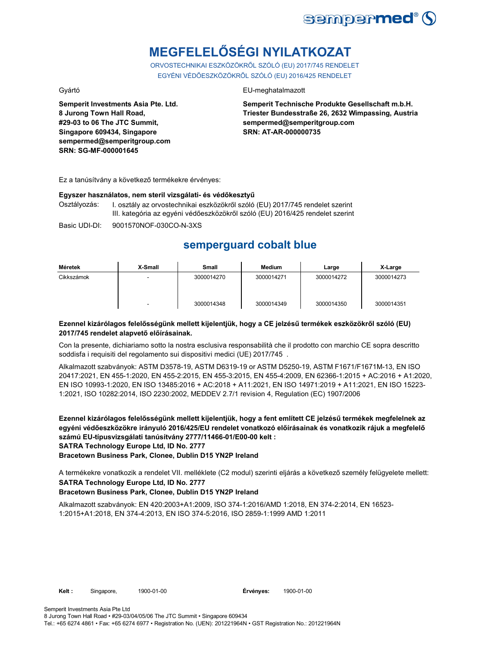

# **MEGFELELŐSÉGI NYILATKOZAT**

ORVOSTECHNIKAI ESZKÖZÖKRŐL SZÓLÓ (EU) 2017/745 RENDELET EGYÉNI VÉDŐESZKÖZÖKRŐL SZÓLÓ (EU) 2016/425 RENDELET

**Semperit Investments Asia Pte. Ltd. 8 Jurong Town Hall Road, #29-03 to 06 The JTC Summit, Singapore 609434, Singapore sempermed@semperitgroup.com SRN: SG-MF-000001645**

### Gyártó EU-meghatalmazott

**Semperit Technische Produkte Gesellschaft m.b.H. Triester Bundesstraße 26, 2632 Wimpassing, Austria sempermed@semperitgroup.com SRN: AT-AR-000000735**

Ez a tanúsítvány a következő termékekre érvényes:

#### **Egyszer használatos, nem steril vizsgálati- és védőkesztyű**

Osztályozás: I. osztály az orvostechnikai eszközökről szóló (EU) 2017/745 rendelet szerint III. kategória az egyéni védőeszközökről szóló (EU) 2016/425 rendelet szerint

Basic UDI-DI: 9001570NOF-030CO-N-3XS

## **semperguard cobalt blue**

| Méretek    | X-Small | Small      | Medium     | Large      | X-Large    |
|------------|---------|------------|------------|------------|------------|
| Cikkszámok | -       | 3000014270 | 3000014271 | 3000014272 | 3000014273 |
|            | -       | 3000014348 | 3000014349 | 3000014350 | 3000014351 |

#### **Ezennel kizárólagos felelősségünk mellett kijelentjük, hogy a CE jelzésű termékek eszközökről szóló (EU) 2017/745 rendelet alapvető előírásainak.**

Con la presente, dichiariamo sotto la nostra esclusiva responsabilità che il prodotto con marchio CE sopra descritto soddisfa i requisiti del regolamento sui dispositivi medici (UE) 2017/745 .

Alkalmazott szabványok: ASTM D3578-19, ASTM D6319-19 or ASTM D5250-19, ASTM F1671/F1671M-13, EN ISO 20417:2021, EN 455-1:2020, EN 455-2:2015, EN 455-3:2015, EN 455-4:2009, EN 62366-1:2015 + AC:2016 + A1:2020, EN ISO 10993-1:2020, EN ISO 13485:2016 + AC:2018 + A11:2021, EN ISO 14971:2019 + A11:2021, EN ISO 15223- 1:2021, ISO 10282:2014, ISO 2230:2002, MEDDEV 2.7/1 revision 4, Regulation (EC) 1907/2006

**Ezennel kizárólagos felelősségünk mellett kijelentjük, hogy a fent említett CE jelzésű termékek megfelelnek az egyéni védőeszközökre irányuló 2016/425/EU rendelet vonatkozó előírásainak és vonatkozik rájuk a megfelelő számú EU-típusvizsgálati tanúsítvány 2777/11466-01/E00-00 kelt : SATRA Technology Europe Ltd, ID No. 2777**

**Bracetown Business Park, Clonee, Dublin D15 YN2P Ireland**

A termékekre vonatkozik a rendelet VII. melléklete (C2 modul) szerinti eljárás a következő személy felügyelete mellett: **SATRA Technology Europe Ltd, ID No. 2777**

### **Bracetown Business Park, Clonee, Dublin D15 YN2P Ireland**

Alkalmazott szabványok: EN 420:2003+A1:2009, ISO 374-1:2016/AMD 1:2018, EN 374-2:2014, EN 16523- 1:2015+A1:2018, EN 374-4:2013, EN ISO 374-5:2016, ISO 2859-1:1999 AMD 1:2011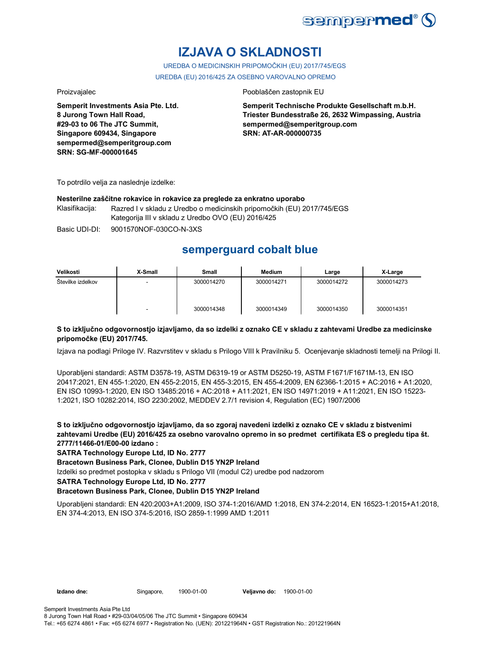

# **IZJAVA O SKLADNOSTI**

UREDBA O MEDICINSKIH PRIPOMOČKIH (EU) 2017/745/EGS UREDBA (EU) 2016/425 ZA OSEBNO VAROVALNO OPREMO

**Semperit Investments Asia Pte. Ltd. 8 Jurong Town Hall Road, #29-03 to 06 The JTC Summit, Singapore 609434, Singapore sempermed@semperitgroup.com SRN: SG-MF-000001645**

#### Proizvajalec Pooblaščen zastopnik EU

**Semperit Technische Produkte Gesellschaft m.b.H. Triester Bundesstraße 26, 2632 Wimpassing, Austria sempermed@semperitgroup.com SRN: AT-AR-000000735**

To potrdilo velja za naslednje izdelke:

#### **Nesterilne zaščitne rokavice in rokavice za preglede za enkratno uporabo**

Klasifikacija: Razred I v skladu z Uredbo o medicinskih pripomočkih (EU) 2017/745/EGS Kategorija III v skladu z Uredbo OVO (EU) 2016/425

Basic UDI-DI: 9001570NOF-030CO-N-3XS

## **semperguard cobalt blue**

| Velikosti         | X-Small | Small      | <b>Medium</b> | Large      | X-Large    |
|-------------------|---------|------------|---------------|------------|------------|
| Številke izdelkov | -       | 3000014270 | 3000014271    | 3000014272 | 3000014273 |
|                   |         | 3000014348 | 3000014349    | 3000014350 | 3000014351 |

#### **S to izključno odgovornostjo izjavljamo, da so izdelki z oznako CE v skladu z zahtevami Uredbe za medicinske pripomočke (EU) 2017/745.**

Izjava na podlagi Priloge IV. Razvrstitev v skladu s Prilogo VIII k Pravilniku 5. Ocenjevanje skladnosti temelji na Prilogi II.

Uporabljeni standardi: ASTM D3578-19, ASTM D6319-19 or ASTM D5250-19, ASTM F1671/F1671M-13, EN ISO 20417:2021, EN 455-1:2020, EN 455-2:2015, EN 455-3:2015, EN 455-4:2009, EN 62366-1:2015 + AC:2016 + A1:2020, EN ISO 10993-1:2020, EN ISO 13485:2016 + AC:2018 + A11:2021, EN ISO 14971:2019 + A11:2021, EN ISO 15223- 1:2021, ISO 10282:2014, ISO 2230:2002, MEDDEV 2.7/1 revision 4, Regulation (EC) 1907/2006

**S to izključno odgovornostjo izjavljamo, da so zgoraj navedeni izdelki z oznako CE v skladu z bistvenimi zahtevami Uredbe (EU) 2016/425 za osebno varovalno opremo in so predmet certifikata ES o pregledu tipa št. 2777/11466-01/E00-00 izdano :**

**SATRA Technology Europe Ltd, ID No. 2777**

**Bracetown Business Park, Clonee, Dublin D15 YN2P Ireland**

Izdelki so predmet postopka v skladu s Prilogo VII (modul C2) uredbe pod nadzorom

**SATRA Technology Europe Ltd, ID No. 2777**

#### **Bracetown Business Park, Clonee, Dublin D15 YN2P Ireland**

Uporabljeni standardi: EN 420:2003+A1:2009, ISO 374-1:2016/AMD 1:2018, EN 374-2:2014, EN 16523-1:2015+A1:2018, EN 374-4:2013, EN ISO 374-5:2016, ISO 2859-1:1999 AMD 1:2011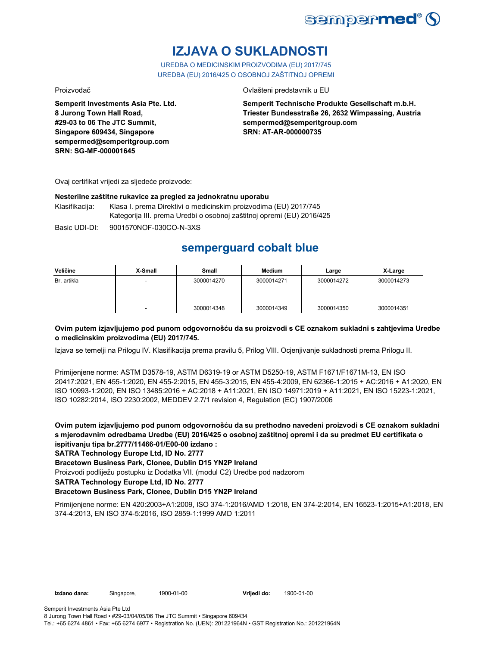

# **IZJAVA O SUKLADNOSTI**

UREDBA O MEDICINSKIM PROIZVODIMA (EU) 2017/745 UREDBA (EU) 2016/425 O OSOBNOJ ZAŠTITNOJ OPREMI

Proizvođač Ovlašteni predstavnik u EU

**Semperit Investments Asia Pte. Ltd. 8 Jurong Town Hall Road, #29-03 to 06 The JTC Summit, Singapore 609434, Singapore sempermed@semperitgroup.com SRN: SG-MF-000001645**

**Semperit Technische Produkte Gesellschaft m.b.H. Triester Bundesstraße 26, 2632 Wimpassing, Austria sempermed@semperitgroup.com SRN: AT-AR-000000735**

Ovaj certifikat vrijedi za sljedeće proizvode:

#### **Nesterilne zaštitne rukavice za pregled za jednokratnu uporabu**

Klasifikacija: Klasa I. prema Direktivi o medicinskim proizvodima (EU) 2017/745 Kategorija III. prema Uredbi o osobnoj zaštitnoj opremi (EU) 2016/425

Basic UDI-DI: 9001570NOF-030CO-N-3XS

## **semperguard cobalt blue**

| Veličine    | X-Small | Small      | <b>Medium</b> | Large      | X-Large    |
|-------------|---------|------------|---------------|------------|------------|
| Br. artikla |         | 3000014270 | 3000014271    | 3000014272 | 3000014273 |
|             | -       | 3000014348 | 3000014349    | 3000014350 | 3000014351 |

### **Ovim putem izjavljujemo pod punom odgovornošću da su proizvodi s CE oznakom sukladni s zahtjevima Uredbe o medicinskim proizvodima (EU) 2017/745.**

Izjava se temelji na Prilogu IV. Klasifikacija prema pravilu 5, Prilog VIII. Ocjenjivanje sukladnosti prema Prilogu II.

Primijenjene norme: ASTM D3578-19, ASTM D6319-19 or ASTM D5250-19, ASTM F1671/F1671M-13, EN ISO 20417:2021, EN 455-1:2020, EN 455-2:2015, EN 455-3:2015, EN 455-4:2009, EN 62366-1:2015 + AC:2016 + A1:2020, EN ISO 10993-1:2020, EN ISO 13485:2016 + AC:2018 + A11:2021, EN ISO 14971:2019 + A11:2021, EN ISO 15223-1:2021, ISO 10282:2014, ISO 2230:2002, MEDDEV 2.7/1 revision 4, Regulation (EC) 1907/2006

**Ovim putem izjavljujemo pod punom odgovornošću da su prethodno navedeni proizvodi s CE oznakom sukladni s mjerodavnim odredbama Uredbe (EU) 2016/425 o osobnoj zaštitnoj opremi i da su predmet EU certifikata o ispitivanju tipa br.2777/11466-01/E00-00 izdano :**

### **SATRA Technology Europe Ltd, ID No. 2777**

**Bracetown Business Park, Clonee, Dublin D15 YN2P Ireland**

Proizvodi podliježu postupku iz Dodatka VII. (modul C2) Uredbe pod nadzorom

**SATRA Technology Europe Ltd, ID No. 2777**

### **Bracetown Business Park, Clonee, Dublin D15 YN2P Ireland**

Primijenjene norme: EN 420:2003+A1:2009, ISO 374-1:2016/AMD 1:2018, EN 374-2:2014, EN 16523-1:2015+A1:2018, EN 374-4:2013, EN ISO 374-5:2016, ISO 2859-1:1999 AMD 1:2011

Semperit Investments Asia Pte Ltd 8 Jurong Town Hall Road • #29-03/04/05/06 The JTC Summit • Singapore 609434

Tel.: +65 6274 4861 • Fax: +65 6274 6977 • Registration No. (UEN): 201221964N • GST Registration No.: 201221964N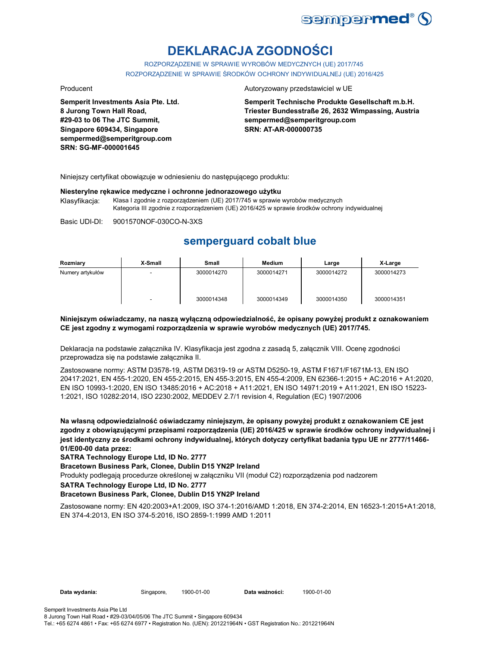

# **DEKLARACJA ZGODNOŚCI**

ROZPORZĄDZENIE W SPRAWIE WYROBÓW MEDYCZNYCH (UE) 2017/745 ROZPORZĄDZENIE W SPRAWIE ŚRODKÓW OCHRONY INDYWIDUALNEJ (UE) 2016/425

**Semperit Investments Asia Pte. Ltd. 8 Jurong Town Hall Road, #29-03 to 06 The JTC Summit, Singapore 609434, Singapore sempermed@semperitgroup.com SRN: SG-MF-000001645**

#### Producent **Autoryzowany przedstawiciel w UE**

**Semperit Technische Produkte Gesellschaft m.b.H. Triester Bundesstraße 26, 2632 Wimpassing, Austria sempermed@semperitgroup.com SRN: AT-AR-000000735**

Niniejszy certyfikat obowiązuje w odniesieniu do następującego produktu:

#### **Niesterylne rękawice medyczne i ochronne jednorazowego użytku**

Klasyfikacja: Klasa I zgodnie z rozporządzeniem (UE) 2017/745 w sprawie wyrobów medycznych Kategoria III zgodnie z rozporządzeniem (UE) 2016/425 w sprawie środków ochrony indywidualnej

Basic UDI-DI: 9001570NOF-030CO-N-3XS

## **semperguard cobalt blue**

| Rozmiary         | X-Small | Small      | Medium     | Large      | X-Large    |
|------------------|---------|------------|------------|------------|------------|
| Numery artykułów |         | 3000014270 | 3000014271 | 3000014272 | 3000014273 |
|                  | -       | 3000014348 | 3000014349 | 3000014350 | 3000014351 |

#### **Niniejszym oświadczamy, na naszą wyłączną odpowiedzialność, że opisany powyżej produkt z oznakowaniem CE jest zgodny z wymogami rozporządzenia w sprawie wyrobów medycznych (UE) 2017/745.**

Deklaracja na podstawie załącznika IV. Klasyfikacja jest zgodna z zasadą 5, załącznik VIII. Ocenę zgodności przeprowadza się na podstawie załącznika II.

Zastosowane normy: ASTM D3578-19, ASTM D6319-19 or ASTM D5250-19, ASTM F1671/F1671M-13, EN ISO 20417:2021, EN 455-1:2020, EN 455-2:2015, EN 455-3:2015, EN 455-4:2009, EN 62366-1:2015 + AC:2016 + A1:2020, EN ISO 10993-1:2020, EN ISO 13485:2016 + AC:2018 + A11:2021, EN ISO 14971:2019 + A11:2021, EN ISO 15223- 1:2021, ISO 10282:2014, ISO 2230:2002, MEDDEV 2.7/1 revision 4, Regulation (EC) 1907/2006

**Na własną odpowiedzialność oświadczamy niniejszym, że opisany powyżej produkt z oznakowaniem CE jest zgodny z obowiązującymi przepisami rozporządzenia (UE) 2016/425 w sprawie środków ochrony indywidualnej i jest identyczny ze środkami ochrony indywidualnej, których dotyczy certyfikat badania typu UE nr 2777/11466- 01/E00-00 data przez:**

**SATRA Technology Europe Ltd, ID No. 2777**

**Bracetown Business Park, Clonee, Dublin D15 YN2P Ireland**

Produkty podlegają procedurze określonej w załączniku VII (moduł C2) rozporządzenia pod nadzorem

**SATRA Technology Europe Ltd, ID No. 2777**

#### **Bracetown Business Park, Clonee, Dublin D15 YN2P Ireland**

Zastosowane normy: EN 420:2003+A1:2009, ISO 374-1:2016/AMD 1:2018, EN 374-2:2014, EN 16523-1:2015+A1:2018, EN 374-4:2013, EN ISO 374-5:2016, ISO 2859-1:1999 AMD 1:2011

Data wydania: Singapore, 1900-01-00

Data ważności: 1900-01-00

Semperit Investments Asia Pte Ltd 8 Jurong Town Hall Road • #29-03/04/05/06 The JTC Summit • Singapore 609434

Tel.: +65 6274 4861 • Fax: +65 6274 6977 • Registration No. (UEN): 201221964N • GST Registration No.: 201221964N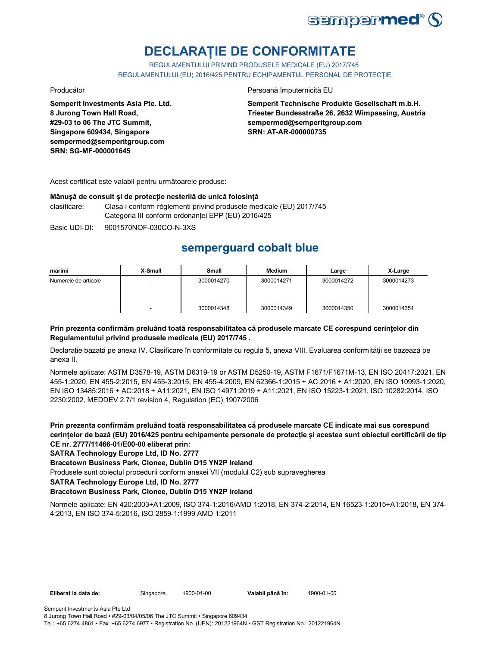

# **DECLARAȚIE DE CONFORMITATE**

REGULAMENTULUI PRIVIND PRODUSELE MEDICALE (EU) 2017/745 REGULAMENTULUI (EU) 2016/425 PENTRU ECHIPAMENTUL PERSONAL DE PROTECȚIE

**Semperit Investments Asia Pte. Ltd. 8 Jurong Town Hall Road, #29-03 to 06 The JTC Summit, Singapore 609434, Singapore sempermed@semperitgroup.com SRN: SG-MF-000001645**

Producător **Producător** Persoană împuternicită EU

**Semperit Technische Produkte Gesellschaft m.b.H. Triester Bundesstraße 26, 2632 Wimpassing, Austria sempermed@semperitgroup.com SRN: AT-AR-000000735**

Acest certificat este valabil pentru următoarele produse:

#### **Mânușă de consult și de protecție nesterilă de unică folosință**

clasificare: Clasa I conform règlementi privind produsele medicale (EU) 2017/745 Categoria III conform ordonanței EPP (EU) 2016/425

Basic UDI-DI: 9001570NOF-030CO-N-3XS

## **semperguard cobalt blue**

| mărimi               | X-Small | <b>Small</b> | Medium     | Large      | X-Large    |
|----------------------|---------|--------------|------------|------------|------------|
| Numerele de articole |         | 3000014270   | 3000014271 | 3000014272 | 3000014273 |
|                      | ۰       | 3000014348   | 3000014349 | 3000014350 | 3000014351 |

### **Prin prezenta confirmăm preluând toată responsabilitatea că produsele marcate CE corespund cerințelor din Regulamentului privind produsele medicale (EU) 2017/745 .**

Declarație bazată pe anexa IV. Clasificare în conformitate cu regula 5, anexa VIII. Evaluarea conformității se bazează pe anexa II.

Normele aplicate: ASTM D3578-19, ASTM D6319-19 or ASTM D5250-19, ASTM F1671/F1671M-13, EN ISO 20417:2021, EN 455-1:2020, EN 455-2:2015, EN 455-3:2015, EN 455-4:2009, EN 62366-1:2015 + AC:2016 + A1:2020, EN ISO 10993-1:2020, EN ISO 13485:2016 + AC:2018 + A11:2021, EN ISO 14971:2019 + A11:2021, EN ISO 15223-1:2021, ISO 10282:2014, ISO 2230:2002, MEDDEV 2.7/1 revision 4, Regulation (EC) 1907/2006

**Prin prezenta confirmăm preluând toată responsabilitatea că produsele marcate CE indicate mai sus corespund cerințelor de bază (EU) 2016/425 pentru echipamente personale de protecție și acestea sunt obiectul certificării de tip CE nr. 2777/11466-01/E00-00 eliberat prin:**

**SATRA Technology Europe Ltd, ID No. 2777**

**Bracetown Business Park, Clonee, Dublin D15 YN2P Ireland**

Produsele sunt obiectul procedurii conform anexei VII (modulul C2) sub supravegherea

**SATRA Technology Europe Ltd, ID No. 2777**

### **Bracetown Business Park, Clonee, Dublin D15 YN2P Ireland**

Normele aplicate: EN 420:2003+A1:2009, ISO 374-1:2016/AMD 1:2018, EN 374-2:2014, EN 16523-1:2015+A1:2018, EN 374- 4:2013, EN ISO 374-5:2016, ISO 2859-1:1999 AMD 1:2011

Semperit Investments Asia Pte Ltd 8 Jurong Town Hall Road • #29-03/04/05/06 The JTC Summit • Singapore 609434 Tel.: +65 6274 4861 • Fax: +65 6274 6977 • Registration No. (UEN): 201221964N • GST Registration No.: 201221964N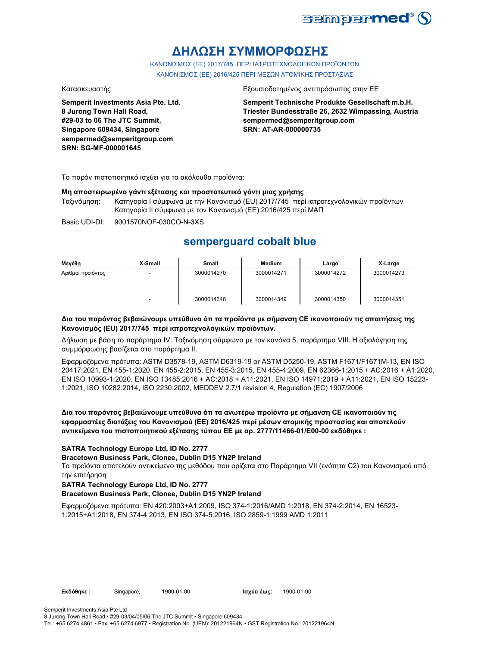

# **ΔΗΛΩΣΗ ΣΥΜΜΟΡΦΩΣΗΣ**

ΚΑΝΟΝΙΣΜΟΣ (EE) 2017/745 ΠΕΡΙ ΙΑΤΡΟΤΕΧΝΟΛΟΓΙΚΩΝ ΠΡΟΪΟΝΤΩΝ ΚΑΝΟΝΙΣΜΟΣ (ΕΕ) 2016/425 ΠΕΡΙ ΜΕΣΩΝ ΑΤΟΜΙΚΗΣ ΠΡΟΣΤΑΣΙΑΣ

**Semperit Investments Asia Pte. Ltd. 8 Jurong Town Hall Road, #29-03 to 06 The JTC Summit, Singapore 609434, Singapore sempermed@semperitgroup.com SRN: SG-MF-000001645**

#### Κατασκευαστής Εξουσιοδοτημένος αντιπρόσωπος στην ΕΕ

**Semperit Technische Produkte Gesellschaft m.b.H. Triester Bundesstraße 26, 2632 Wimpassing, Austria sempermed@semperitgroup.com SRN: AT-AR-000000735**

Το παρόν πιστοποιητικό ισχύει για τα ακόλουθα προϊόντα:

#### **Μη αποστειρωμένο γάντι εξέτασης και προστατευτικό γάντι μιας χρήσης**

Ταξινόμηση: Κατηγορία I σύμφωνα με την Κανονισμό (EU) 2017/745 περί ιατροτεχνολογικών προϊόντων Κατηγορία II σύμφωνα με τον Κανονισμό (ΕΕ) 2016/425 περί ΜΑΠ

Basic UDI-DI: 9001570NOF-030CO-N-3XS

## **semperguard cobalt blue**

| Μεγέθη            | X-Small | <b>Small</b> | <b>Medium</b> | Large      | X-Large    |
|-------------------|---------|--------------|---------------|------------|------------|
| Αριθμοί προϊόντος |         | 3000014270   | 3000014271    | 3000014272 | 3000014273 |
|                   |         | 3000014348   | 3000014349    | 3000014350 | 3000014351 |

#### **Δια του παρόντος βεβαιώνουμε υπεύθυνα ότι τα προϊόντα με σήμανση CE ικανοποιούν τις απαιτήσεις της Κανονισμός (EU) 2017/745 περί ιατροτεχνολογικών προϊόντων.**

Δήλωση με βάση το παράρτημα IV. Ταξινόμηση σύμφωνα με τον κανόνα 5, παράρτημα VIII. Η αξιολόγηση της συμμόρφωσης βασίζεται στο παράρτημα II.

Εφαρμοζόμενα πρότυπα: ASTM D3578-19, ASTM D6319-19 or ASTM D5250-19, ASTM F1671/F1671M-13, EN ISO 20417:2021, EN 455-1:2020, EN 455-2:2015, EN 455-3:2015, EN 455-4:2009, EN 62366-1:2015 + AC:2016 + A1:2020, EN ISO 10993-1:2020, EN ISO 13485:2016 + AC:2018 + A11:2021, EN ISO 14971:2019 + A11:2021, EN ISO 15223- 1:2021, ISO 10282:2014, ISO 2230:2002, MEDDEV 2.7/1 revision 4, Regulation (EC) 1907/2006

### **Δια του παρόντος βεβαιώνουμε υπεύθυνα ότι τα ανωτέρω προϊόντα με σήμανση CE ικανοποιούν τις εφαρμοστέες διατάξεις του Κανονισμού (ΕΕ) 2016/425 περί μέσων ατομικής προστασίας και αποτελούν αντικείμενο του πιστοποιητικού εξέτασης τύπου ΕΕ με αρ. 2777/11466-01/E00-00 εκδόθηκε :**

### **SATRA Technology Europe Ltd, ID No. 2777**

#### **Bracetown Business Park, Clonee, Dublin D15 YN2P Ireland**

Τα προϊόντα αποτελούν αντικείμενο της μεθόδου που ορίζεται στο Παράρτημα VII (ενότητα C2) του Κανονισμού υπό την επιτήρηση

#### **SATRA Technology Europe Ltd, ID No. 2777**

#### **Bracetown Business Park, Clonee, Dublin D15 YN2P Ireland**

Εφαρμοζόμενα πρότυπα: EN 420:2003+A1:2009, ISO 374-1:2016/AMD 1:2018, EN 374-2:2014, EN 16523- 1:2015+A1:2018, EN 374-4:2013, EN ISO 374-5:2016, ISO 2859-1:1999 AMD 1:2011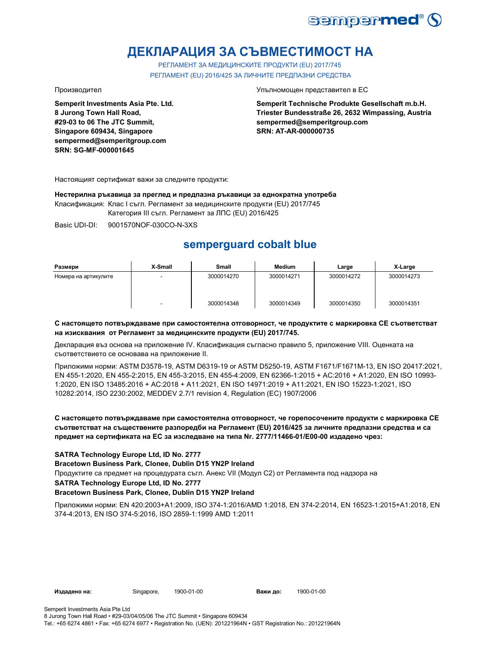

# **ДЕКЛАРАЦИЯ ЗА СЪВМЕСТИМОСТ НА**

РЕГЛАМЕНТ ЗА МЕДИЦИНСКИТЕ ПРОДУКТИ (EU) 2017/745 РЕГЛАМЕНТ (EU) 2016/425 ЗА ЛИЧНИТЕ ПРЕДПАЗНИ СРЕДСТВА

**Semperit Investments Asia Pte. Ltd. 8 Jurong Town Hall Road, #29-03 to 06 The JTC Summit, Singapore 609434, Singapore sempermed@semperitgroup.com SRN: SG-MF-000001645**

Производител Упълномощен представител в ЕС

**Semperit Technische Produkte Gesellschaft m.b.H. Triester Bundesstraße 26, 2632 Wimpassing, Austria sempermed@semperitgroup.com SRN: AT-AR-000000735**

Настоящият сертификат важи за следните продукти:

**Нестерилна ръкавица за преглед и предпазна ръкавици за еднократна употреба**

Класификация: Клас I съгл. Регламент за медицинските продукти (EU) 2017/745

Категория III съгл. Регламент за ЛПС (EU) 2016/425

Basic UDI-DI: 9001570NOF-030CO-N-3XS

# **semperguard cobalt blue**

| Размери              | X-Small | <b>Small</b> | Medium     | Large      | X-Large    |
|----------------------|---------|--------------|------------|------------|------------|
| Номера на артикулите | $\sim$  | 3000014270   | 3000014271 | 3000014272 | 3000014273 |
|                      |         | 3000014348   | 3000014349 | 3000014350 | 3000014351 |

#### **С настоящето потвърждаваме при самостоятелна отговорност, че продуктите с маркировка СЕ съответстват на изисквания от Регламент за медицинските продукти (EU) 2017/745.**

Декларация въз основа на приложение IV. Класификация съгласно правило 5, приложение VIII. Оценката на съответствието се основава на приложение II.

Приложими норми: ASTM D3578-19, ASTM D6319-19 or ASTM D5250-19, ASTM F1671/F1671M-13, EN ISO 20417:2021, EN 455-1:2020, EN 455-2:2015, EN 455-3:2015, EN 455-4:2009, EN 62366-1:2015 + AC:2016 + A1:2020, EN ISO 10993- 1:2020, EN ISO 13485:2016 + AC:2018 + A11:2021, EN ISO 14971:2019 + A11:2021, EN ISO 15223-1:2021, ISO 10282:2014, ISO 2230:2002, MEDDEV 2.7/1 revision 4, Regulation (EC) 1907/2006

### **С настоящето потвърждаваме при самостоятелна отговорност, че горепосочените продукти с маркировка СЕ съответстват на съществените разпоредби на Регламент (EU) 2016/425 за личните предпазни средства и са предмет на сертификата на ЕС за изследване на типа Nr. 2777/11466-01/E00-00 издадено чрез:**

#### **SATRA Technology Europe Ltd, ID No. 2777**

**Bracetown Business Park, Clonee, Dublin D15 YN2P Ireland**

Продуктите са предмет на процедурата съгл. Анекс VII (Модул С2) от Регламента под надзора на

### **SATRA Technology Europe Ltd, ID No. 2777**

#### **Bracetown Business Park, Clonee, Dublin D15 YN2P Ireland**

Приложими норми: EN 420:2003+A1:2009, ISO 374-1:2016/AMD 1:2018, EN 374-2:2014, EN 16523-1:2015+A1:2018, EN 374-4:2013, EN ISO 374-5:2016, ISO 2859-1:1999 AMD 1:2011

**Издадено на:** Singapore, **Важи до:**